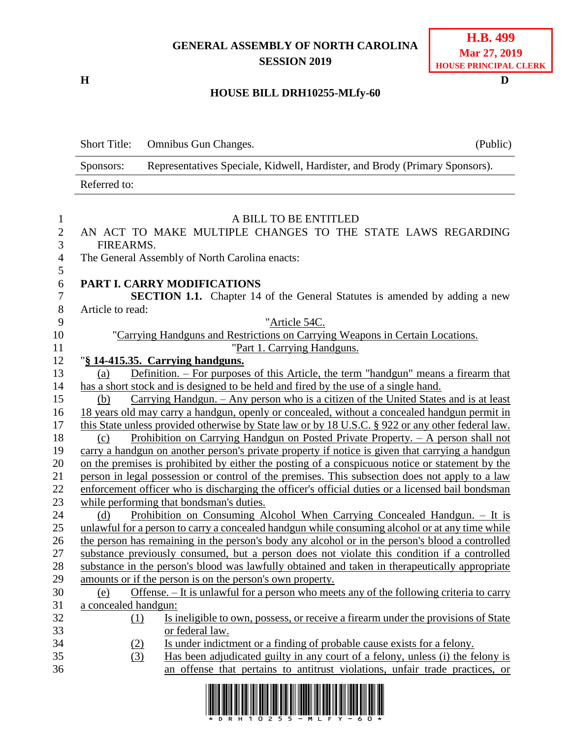## **GENERAL ASSEMBLY OF NORTH CAROLINA SESSION 2019**

**H D**

#### **HOUSE BILL DRH10255-MLfy-60**

|              | Short Title: Omnibus Gun Changes.                                           | (Public) |
|--------------|-----------------------------------------------------------------------------|----------|
| Sponsors:    | Representatives Speciale, Kidwell, Hardister, and Brody (Primary Sponsors). |          |
| Referred to: |                                                                             |          |

### 1 A BILL TO BE ENTITLED<br>2 AN ACT TO MAKE MULTIPLE CHANGES TO THE AN ACT TO MAKE MULTIPLE CHANGES TO THE STATE LAWS REGARDING FIREARMS. The General Assembly of North Carolina enacts: **PART I. CARRY MODIFICATIONS SECTION 1.1.** Chapter 14 of the General Statutes is amended by adding a new Article to read: "Article 54C. "Carrying Handguns and Restrictions on Carrying Weapons in Certain Locations. 11 "Part 1. Carrying Handguns. "**§ 14-415.35. Carrying handguns.** (a) Definition. – For purposes of this Article, the term "handgun" means a firearm that has a short stock and is designed to be held and fired by the use of a single hand. (b) Carrying Handgun. – Any person who is a citizen of the United States and is at least 18 years old may carry a handgun, openly or concealed, without a concealed handgun permit in 17 this State unless provided otherwise by State law or by 18 U.S.C. § 922 or any other federal law. (c) Prohibition on Carrying Handgun on Posted Private Property. – A person shall not carry a handgun on another person's private property if notice is given that carrying a handgun on the premises is prohibited by either the posting of a conspicuous notice or statement by the person in legal possession or control of the premises. This subsection does not apply to a law enforcement officer who is discharging the officer's official duties or a licensed bail bondsman while performing that bondsman's duties. (d) Prohibition on Consuming Alcohol When Carrying Concealed Handgun. – It is unlawful for a person to carry a concealed handgun while consuming alcohol or at any time while the person has remaining in the person's body any alcohol or in the person's blood a controlled substance previously consumed, but a person does not violate this condition if a controlled substance in the person's blood was lawfully obtained and taken in therapeutically appropriate amounts or if the person is on the person's own property. (e) Offense. – It is unlawful for a person who meets any of the following criteria to carry a concealed handgun: (1) Is ineligible to own, possess, or receive a firearm under the provisions of State or federal law. (2) Is under indictment or a finding of probable cause exists for a felony. (3) Has been adjudicated guilty in any court of a felony, unless (i) the felony is an offense that pertains to antitrust violations, unfair trade practices, or

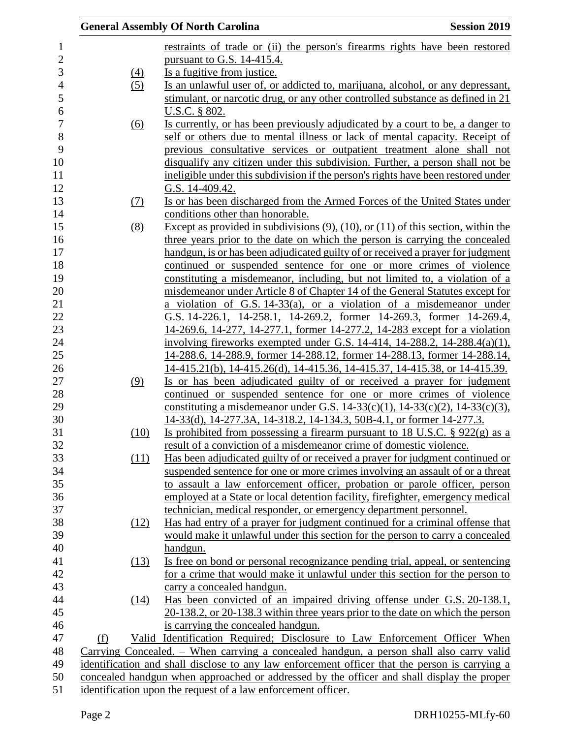|     |                   | <b>General Assembly Of North Carolina</b>                                                                                                                             | <b>Session 2019</b> |
|-----|-------------------|-----------------------------------------------------------------------------------------------------------------------------------------------------------------------|---------------------|
|     |                   | restraints of trade or (ii) the person's firearms rights have been restored                                                                                           |                     |
|     |                   | pursuant to G.S. $14-415.4$ .                                                                                                                                         |                     |
|     | $\underline{(4)}$ | Is a fugitive from justice.                                                                                                                                           |                     |
|     | (5)               | Is an unlawful user of, or addicted to, marijuana, alcohol, or any depressant,                                                                                        |                     |
|     |                   | stimulant, or narcotic drug, or any other controlled substance as defined in 21                                                                                       |                     |
|     |                   | U.S.C. § 802.                                                                                                                                                         |                     |
|     | (6)               | Is currently, or has been previously adjudicated by a court to be, a danger to                                                                                        |                     |
|     |                   | self or others due to mental illness or lack of mental capacity. Receipt of                                                                                           |                     |
|     |                   | previous consultative services or outpatient treatment alone shall not                                                                                                |                     |
|     |                   | disqualify any citizen under this subdivision. Further, a person shall not be                                                                                         |                     |
|     |                   | ineligible under this subdivision if the person's rights have been restored under                                                                                     |                     |
|     |                   | G.S. 14-409.42.                                                                                                                                                       |                     |
|     | (7)               | Is or has been discharged from the Armed Forces of the United States under                                                                                            |                     |
|     |                   | conditions other than honorable.                                                                                                                                      |                     |
|     | (8)               | Except as provided in subdivisions $(9)$ , $(10)$ , or $(11)$ of this section, within the                                                                             |                     |
|     |                   | three years prior to the date on which the person is carrying the concealed                                                                                           |                     |
|     |                   | handgun, is or has been adjudicated guilty of or received a prayer for judgment                                                                                       |                     |
|     |                   | continued or suspended sentence for one or more crimes of violence                                                                                                    |                     |
|     |                   | constituting a misdemeanor, including, but not limited to, a violation of a                                                                                           |                     |
|     |                   | misdemeanor under Article 8 of Chapter 14 of the General Statutes except for                                                                                          |                     |
|     |                   | a violation of G.S. $14-33(a)$ , or a violation of a misdemeanor under                                                                                                |                     |
|     |                   | G.S. 14-226.1, 14-258.1, 14-269.2, former 14-269.3, former 14-269.4,                                                                                                  |                     |
|     |                   | 14-269.6, 14-277, 14-277.1, former 14-277.2, 14-283 except for a violation                                                                                            |                     |
|     |                   | involving fireworks exempted under G.S. 14-414, 14-288.2, 14-288.4(a)(1),                                                                                             |                     |
|     |                   | 14-288.6, 14-288.9, former 14-288.12, former 14-288.13, former 14-288.14,                                                                                             |                     |
|     |                   | 14-415.21(b), 14-415.26(d), 14-415.36, 14-415.37, 14-415.38, or 14-415.39.                                                                                            |                     |
|     | (9)               | Is or has been adjudicated guilty of or received a prayer for judgment                                                                                                |                     |
|     |                   | continued or suspended sentence for one or more crimes of violence                                                                                                    |                     |
|     |                   | constituting a misdemeanor under G.S. 14-33(c)(1), 14-33(c)(2), 14-33(c)(3),                                                                                          |                     |
|     |                   | 14-33(d), 14-277.3A, 14-318.2, 14-134.3, 50B-4.1, or former 14-277.3.                                                                                                 |                     |
|     | (10)              | Is prohibited from possessing a firearm pursuant to 18 U.S.C. $\S$ 922(g) as a                                                                                        |                     |
|     |                   | result of a conviction of a misdemeanor crime of domestic violence.                                                                                                   |                     |
|     | (11)              | Has been adjudicated guilty of or received a prayer for judgment continued or                                                                                         |                     |
|     |                   | suspended sentence for one or more crimes involving an assault of or a threat                                                                                         |                     |
|     |                   | to assault a law enforcement officer, probation or parole officer, person                                                                                             |                     |
|     |                   | employed at a State or local detention facility, firefighter, emergency medical                                                                                       |                     |
|     |                   | technician, medical responder, or emergency department personnel.                                                                                                     |                     |
|     | (12)              | Has had entry of a prayer for judgment continued for a criminal offense that                                                                                          |                     |
|     |                   | would make it unlawful under this section for the person to carry a concealed                                                                                         |                     |
|     |                   | handgun.                                                                                                                                                              |                     |
|     | (13)              | Is free on bond or personal recognizance pending trial, appeal, or sentencing                                                                                         |                     |
|     |                   | for a crime that would make it unlawful under this section for the person to                                                                                          |                     |
|     |                   | carry a concealed handgun.                                                                                                                                            |                     |
|     | (14)              | Has been convicted of an impaired driving offense under G.S. 20-138.1,                                                                                                |                     |
|     |                   | 20-138.2, or 20-138.3 within three years prior to the date on which the person                                                                                        |                     |
|     |                   | is carrying the concealed handgun.                                                                                                                                    |                     |
| (f) |                   | Valid Identification Required; Disclosure to Law Enforcement Officer When<br>Carrying Concealed. - When carrying a concealed handgun, a person shall also carry valid |                     |
|     |                   | identification and shall disclose to any law enforcement officer that the person is carrying a                                                                        |                     |
|     |                   | concealed handgun when approached or addressed by the officer and shall display the proper                                                                            |                     |
|     |                   | identification upon the request of a law enforcement officer.                                                                                                         |                     |
|     |                   |                                                                                                                                                                       |                     |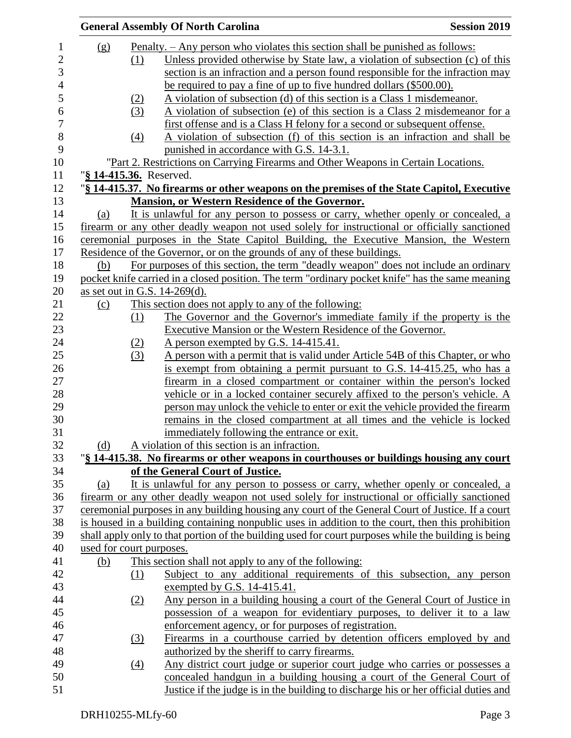|                          |                   | <b>General Assembly Of North Carolina</b>                                                            | <b>Session 2019</b> |
|--------------------------|-------------------|------------------------------------------------------------------------------------------------------|---------------------|
| (g)                      |                   | <u>Penalty. – Any person who violates this section shall be punished as follows:</u>                 |                     |
|                          | (1)               | Unless provided otherwise by State law, a violation of subsection (c) of this                        |                     |
|                          |                   | section is an infraction and a person found responsible for the infraction may                       |                     |
|                          |                   | be required to pay a fine of up to five hundred dollars (\$500.00).                                  |                     |
|                          | <u>(2)</u>        | A violation of subsection (d) of this section is a Class 1 misdemeanor.                              |                     |
|                          | (3)               | A violation of subsection (e) of this section is a Class 2 misdemeanor for a                         |                     |
|                          |                   | first offense and is a Class H felony for a second or subsequent offense.                            |                     |
|                          | $\left(4\right)$  | A violation of subsection (f) of this section is an infraction and shall be                          |                     |
|                          |                   | punished in accordance with G.S. 14-3.1.                                                             |                     |
|                          |                   | "Part 2. Restrictions on Carrying Firearms and Other Weapons in Certain Locations.                   |                     |
|                          |                   | "§ 14-415.36. Reserved.                                                                              |                     |
|                          |                   | "§ 14-415.37. No firearms or other weapons on the premises of the State Capitol, Executive           |                     |
|                          |                   | <b>Mansion, or Western Residence of the Governor.</b>                                                |                     |
| (a)                      |                   | It is unlawful for any person to possess or carry, whether openly or concealed, a                    |                     |
|                          |                   | firearm or any other deadly weapon not used solely for instructional or officially sanctioned        |                     |
|                          |                   | ceremonial purposes in the State Capitol Building, the Executive Mansion, the Western                |                     |
|                          |                   | Residence of the Governor, or on the grounds of any of these buildings.                              |                     |
| (b)                      |                   | For purposes of this section, the term "deadly weapon" does not include an ordinary                  |                     |
|                          |                   | pocket knife carried in a closed position. The term "ordinary pocket knife" has the same meaning     |                     |
|                          |                   | as set out in G.S. 14-269(d).                                                                        |                     |
| (c)                      |                   | This section does not apply to any of the following:                                                 |                     |
|                          | (1)               | The Governor and the Governor's immediate family if the property is the                              |                     |
|                          |                   | <b>Executive Mansion or the Western Residence of the Governor.</b>                                   |                     |
|                          | (2)               | A person exempted by G.S. 14-415.41.                                                                 |                     |
|                          | (3)               | A person with a permit that is valid under Article 54B of this Chapter, or who                       |                     |
|                          |                   | is exempt from obtaining a permit pursuant to G.S. 14-415.25, who has a                              |                     |
|                          |                   | firearm in a closed compartment or container within the person's locked                              |                     |
|                          |                   | vehicle or in a locked container securely affixed to the person's vehicle. A                         |                     |
|                          |                   | person may unlock the vehicle to enter or exit the vehicle provided the firearm                      |                     |
|                          |                   | remains in the closed compartment at all times and the vehicle is locked                             |                     |
|                          |                   | immediately following the entrance or exit.                                                          |                     |
| (d)                      |                   | A violation of this section is an infraction.                                                        |                     |
|                          |                   | "\\$ 14-415.38. No firearms or other weapons in courthouses or buildings housing any court           |                     |
|                          |                   | of the General Court of Justice.                                                                     |                     |
| (a)                      |                   | It is unlawful for any person to possess or carry, whether openly or concealed, a                    |                     |
|                          |                   | firearm or any other deadly weapon not used solely for instructional or officially sanctioned        |                     |
|                          |                   | ceremonial purposes in any building housing any court of the General Court of Justice. If a court    |                     |
|                          |                   | is housed in a building containing nonpublic uses in addition to the court, then this prohibition    |                     |
|                          |                   | shall apply only to that portion of the building used for court purposes while the building is being |                     |
| used for court purposes. |                   |                                                                                                      |                     |
| (b)                      |                   | This section shall not apply to any of the following:                                                |                     |
|                          | (1)               | Subject to any additional requirements of this subsection, any person                                |                     |
|                          |                   | exempted by G.S. 14-415.41.                                                                          |                     |
|                          | (2)               | Any person in a building housing a court of the General Court of Justice in                          |                     |
|                          |                   | possession of a weapon for evidentiary purposes, to deliver it to a law                              |                     |
|                          |                   | enforcement agency, or for purposes of registration.                                                 |                     |
|                          | (3)               | Firearms in a courthouse carried by detention officers employed by and                               |                     |
|                          |                   | authorized by the sheriff to carry firearms.                                                         |                     |
|                          | $\underline{(4)}$ | Any district court judge or superior court judge who carries or possesses a                          |                     |
|                          |                   | concealed handgun in a building housing a court of the General Court of                              |                     |
|                          |                   | Justice if the judge is in the building to discharge his or her official duties and                  |                     |
|                          |                   |                                                                                                      |                     |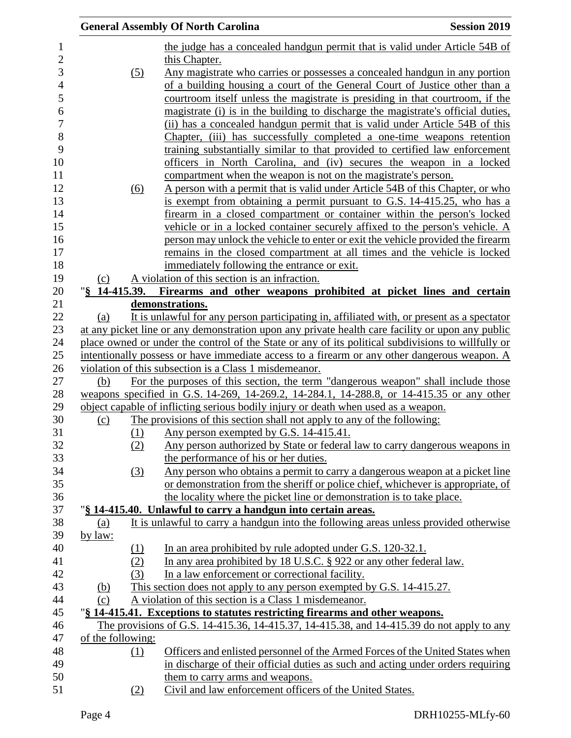|                   |                       | <b>General Assembly Of North Carolina</b>                                                                                                                | <b>Session 2019</b> |
|-------------------|-----------------------|----------------------------------------------------------------------------------------------------------------------------------------------------------|---------------------|
|                   |                       | the judge has a concealed handgun permit that is valid under Article 54B of                                                                              |                     |
|                   |                       | this Chapter.                                                                                                                                            |                     |
|                   | $\left( 5\right)$     | Any magistrate who carries or possesses a concealed handgun in any portion                                                                               |                     |
|                   |                       | of a building housing a court of the General Court of Justice other than a                                                                               |                     |
|                   |                       | courtroom itself unless the magistrate is presiding in that courtroom, if the                                                                            |                     |
|                   |                       | magistrate (i) is in the building to discharge the magistrate's official duties,                                                                         |                     |
|                   |                       | (ii) has a concealed handgun permit that is valid under Article 54B of this                                                                              |                     |
|                   |                       | Chapter, (iii) has successfully completed a one-time weapons retention                                                                                   |                     |
|                   |                       | training substantially similar to that provided to certified law enforcement                                                                             |                     |
|                   |                       | officers in North Carolina, and (iv) secures the weapon in a locked                                                                                      |                     |
|                   |                       | compartment when the weapon is not on the magistrate's person.                                                                                           |                     |
|                   | (6)                   | A person with a permit that is valid under Article 54B of this Chapter, or who                                                                           |                     |
|                   |                       | is exempt from obtaining a permit pursuant to G.S. 14-415.25, who has a                                                                                  |                     |
|                   |                       | firearm in a closed compartment or container within the person's locked                                                                                  |                     |
|                   |                       | vehicle or in a locked container securely affixed to the person's vehicle. A                                                                             |                     |
|                   |                       | person may unlock the vehicle to enter or exit the vehicle provided the firearm                                                                          |                     |
|                   |                       | remains in the closed compartment at all times and the vehicle is locked                                                                                 |                     |
| (c)               |                       | immediately following the entrance or exit.<br>A violation of this section is an infraction.                                                             |                     |
|                   | $\sqrt{8}$ 14-415.39. | Firearms and other weapons prohibited at picket lines and certain                                                                                        |                     |
|                   |                       | demonstrations.                                                                                                                                          |                     |
| (a)               |                       | It is unlawful for any person participating in, affiliated with, or present as a spectator                                                               |                     |
|                   |                       | at any picket line or any demonstration upon any private health care facility or upon any public                                                         |                     |
|                   |                       | place owned or under the control of the State or any of its political subdivisions to willfully or                                                       |                     |
|                   |                       | intentionally possess or have immediate access to a firearm or any other dangerous weapon. A                                                             |                     |
|                   |                       | violation of this subsection is a Class 1 misdemeanor.                                                                                                   |                     |
| (b)               |                       | For the purposes of this section, the term "dangerous weapon" shall include those                                                                        |                     |
|                   |                       | weapons specified in G.S. 14-269, 14-269.2, 14-284.1, 14-288.8, or 14-415.35 or any other                                                                |                     |
|                   |                       | object capable of inflicting serious bodily injury or death when used as a weapon.                                                                       |                     |
| $\Omega$          |                       | The provisions of this section shall not apply to any of the following:                                                                                  |                     |
|                   |                       | (1) Any person exempted by G.S. 14-415.41.                                                                                                               |                     |
|                   | (2)                   | Any person authorized by State or federal law to carry dangerous weapons in                                                                              |                     |
|                   |                       | the performance of his or her duties.                                                                                                                    |                     |
|                   | (3)                   | Any person who obtains a permit to carry a dangerous weapon at a picket line                                                                             |                     |
|                   |                       | or demonstration from the sheriff or police chief, whichever is appropriate, of<br>the locality where the picket line or demonstration is to take place. |                     |
|                   |                       | "§ 14-415.40. Unlawful to carry a handgun into certain areas.                                                                                            |                     |
| (a)               |                       | It is unlawful to carry a handgun into the following areas unless provided otherwise                                                                     |                     |
| by law:           |                       |                                                                                                                                                          |                     |
|                   | (1)                   | In an area prohibited by rule adopted under G.S. 120-32.1.                                                                                               |                     |
|                   | (2)                   | In any area prohibited by 18 U.S.C. § 922 or any other federal law.                                                                                      |                     |
|                   | (3)                   | In a law enforcement or correctional facility.                                                                                                           |                     |
| <u>(b)</u>        |                       | This section does not apply to any person exempted by G.S. 14-415.27.                                                                                    |                     |
| (c)               |                       | A violation of this section is a Class 1 misdemeanor.                                                                                                    |                     |
|                   |                       | "§ 14-415.41. Exceptions to statutes restricting firearms and other weapons.                                                                             |                     |
|                   |                       | The provisions of G.S. 14-415.36, 14-415.37, 14-415.38, and 14-415.39 do not apply to any                                                                |                     |
| of the following: |                       |                                                                                                                                                          |                     |
|                   | (1)                   | Officers and enlisted personnel of the Armed Forces of the United States when                                                                            |                     |
|                   |                       | in discharge of their official duties as such and acting under orders requiring                                                                          |                     |
|                   |                       | them to carry arms and weapons.                                                                                                                          |                     |
|                   | (2)                   | Civil and law enforcement officers of the United States.                                                                                                 |                     |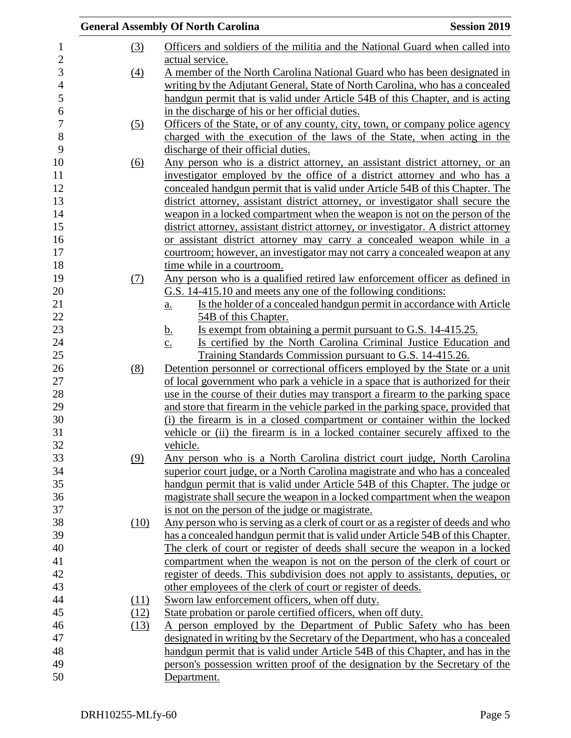|                   | <b>General Assembly Of North Carolina</b>                                                       | <b>Session 2019</b> |
|-------------------|-------------------------------------------------------------------------------------------------|---------------------|
| (3)               | Officers and soldiers of the militia and the National Guard when called into<br>actual service. |                     |
| (4)               | A member of the North Carolina National Guard who has been designated in                        |                     |
|                   | writing by the Adjutant General, State of North Carolina, who has a concealed                   |                     |
|                   | handgun permit that is valid under Article 54B of this Chapter, and is acting                   |                     |
|                   | in the discharge of his or her official duties.                                                 |                     |
| $\left( 5\right)$ | Officers of the State, or of any county, city, town, or company police agency                   |                     |
|                   | charged with the execution of the laws of the State, when acting in the                         |                     |
|                   | discharge of their official duties.                                                             |                     |
| $\underline{(6)}$ | <u>Any person who is a district attorney, an assistant district attorney, or an</u>             |                     |
|                   | investigator employed by the office of a district attorney and who has a                        |                     |
|                   | concealed handgun permit that is valid under Article 54B of this Chapter. The                   |                     |
|                   | district attorney, assistant district attorney, or investigator shall secure the                |                     |
|                   | weapon in a locked compartment when the weapon is not on the person of the                      |                     |
|                   | district attorney, assistant district attorney, or investigator. A district attorney            |                     |
|                   | or assistant district attorney may carry a concealed weapon while in a                          |                     |
|                   | courtroom; however, an investigator may not carry a concealed weapon at any                     |                     |
|                   | time while in a courtroom.                                                                      |                     |
| (7)               | Any person who is a qualified retired law enforcement officer as defined in                     |                     |
|                   | G.S. 14-415.10 and meets any one of the following conditions:                                   |                     |
|                   | Is the holder of a concealed handgun permit in accordance with Article<br>$\underline{a}$ .     |                     |
|                   | 54B of this Chapter.                                                                            |                     |
|                   | <u>Is exempt from obtaining a permit pursuant to G.S. 14-415.25.</u><br><u>b.</u>               |                     |
|                   | Is certified by the North Carolina Criminal Justice Education and<br>$\underline{c}$ .          |                     |
|                   | Training Standards Commission pursuant to G.S. 14-415.26.                                       |                     |
| (8)               | Detention personnel or correctional officers employed by the State or a unit                    |                     |
|                   | of local government who park a vehicle in a space that is authorized for their                  |                     |
|                   | use in the course of their duties may transport a firearm to the parking space                  |                     |
|                   | and store that firearm in the vehicle parked in the parking space, provided that                |                     |
|                   | (i) the firearm is in a closed compartment or container within the locked                       |                     |
|                   | vehicle or (ii) the firearm is in a locked container securely affixed to the                    |                     |
|                   | vehicle.                                                                                        |                     |
| (9)               | Any person who is a North Carolina district court judge, North Carolina                         |                     |
|                   | superior court judge, or a North Carolina magistrate and who has a concealed                    |                     |
|                   | handgun permit that is valid under Article 54B of this Chapter. The judge or                    |                     |
|                   | magistrate shall secure the weapon in a locked compartment when the weapon                      |                     |
|                   | is not on the person of the judge or magistrate.                                                |                     |
| (10)              | Any person who is serving as a clerk of court or as a register of deeds and who                 |                     |
|                   | has a concealed handgun permit that is valid under Article 54B of this Chapter.                 |                     |
|                   | The clerk of court or register of deeds shall secure the weapon in a locked                     |                     |
|                   | compartment when the weapon is not on the person of the clerk of court or                       |                     |
|                   | register of deeds. This subdivision does not apply to assistants, deputies, or                  |                     |
|                   | other employees of the clerk of court or register of deeds.                                     |                     |
| (11)              | Sworn law enforcement officers, when off duty.                                                  |                     |
| (12)              | State probation or parole certified officers, when off duty.                                    |                     |
| (13)              | A person employed by the Department of Public Safety who has been                               |                     |
|                   | designated in writing by the Secretary of the Department, who has a concealed                   |                     |
|                   | handgun permit that is valid under Article 54B of this Chapter, and has in the                  |                     |
|                   | person's possession written proof of the designation by the Secretary of the                    |                     |
|                   | Department.                                                                                     |                     |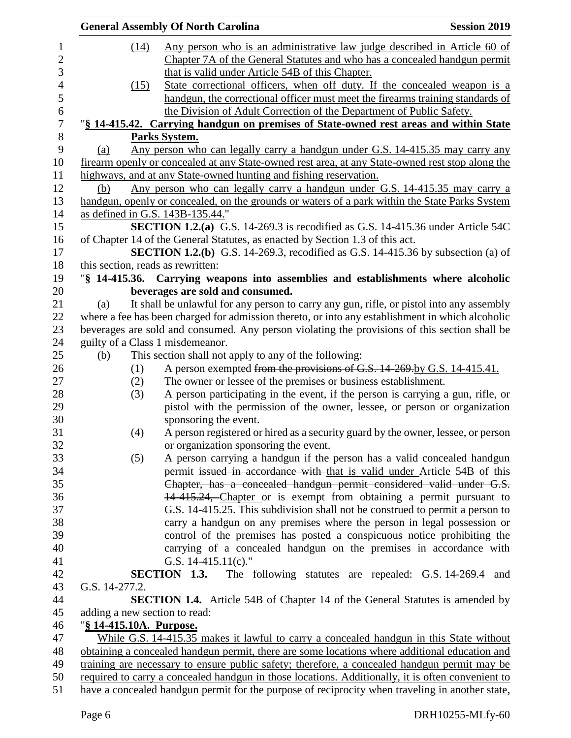|                                   | <b>General Assembly Of North Carolina</b>                                                         | <b>Session 2019</b> |
|-----------------------------------|---------------------------------------------------------------------------------------------------|---------------------|
| (14)                              | Any person who is an administrative law judge described in Article 60 of                          |                     |
|                                   | Chapter 7A of the General Statutes and who has a concealed handgun permit                         |                     |
|                                   | that is valid under Article 54B of this Chapter.                                                  |                     |
| (15)                              | State correctional officers, when off duty. If the concealed weapon is a                          |                     |
|                                   | handgun, the correctional officer must meet the firearms training standards of                    |                     |
|                                   | the Division of Adult Correction of the Department of Public Safety.                              |                     |
|                                   | "§ 14-415.42. Carrying handgun on premises of State-owned rest areas and within State             |                     |
|                                   | Parks System.                                                                                     |                     |
| (a)                               | <u>Any person who can legally carry a handgun under G.S. 14-415.35 may carry any</u>              |                     |
|                                   | firearm openly or concealed at any State-owned rest area, at any State-owned rest stop along the  |                     |
|                                   | highways, and at any State-owned hunting and fishing reservation.                                 |                     |
| (b)                               | Any person who can legally carry a handgun under G.S. 14-415.35 may carry a                       |                     |
|                                   | handgun, openly or concealed, on the grounds or waters of a park within the State Parks System    |                     |
|                                   | as defined in G.S. 143B-135.44."                                                                  |                     |
|                                   | <b>SECTION 1.2.(a)</b> G.S. 14-269.3 is recodified as G.S. 14-415.36 under Article 54C            |                     |
|                                   | of Chapter 14 of the General Statutes, as enacted by Section 1.3 of this act.                     |                     |
|                                   | SECTION 1.2.(b) G.S. 14-269.3, recodified as G.S. 14-415.36 by subsection (a) of                  |                     |
| this section, reads as rewritten: |                                                                                                   |                     |
|                                   | "§ 14-415.36. Carrying weapons into assemblies and establishments where alcoholic                 |                     |
|                                   | beverages are sold and consumed.                                                                  |                     |
| (a)                               | It shall be unlawful for any person to carry any gun, rifle, or pistol into any assembly          |                     |
|                                   | where a fee has been charged for admission thereto, or into any establishment in which alcoholic  |                     |
|                                   | beverages are sold and consumed. Any person violating the provisions of this section shall be     |                     |
|                                   | guilty of a Class 1 misdemeanor.                                                                  |                     |
| (b)                               | This section shall not apply to any of the following:                                             |                     |
| (1)                               | A person exempted from the provisions of G.S. 14-269 by G.S. 14-415.41.                           |                     |
| (2)                               | The owner or lessee of the premises or business establishment.                                    |                     |
| (3)                               | A person participating in the event, if the person is carrying a gun, rifle, or                   |                     |
|                                   | pistol with the permission of the owner, lessee, or person or organization                        |                     |
|                                   | sponsoring the event.                                                                             |                     |
| (4)                               | A person registered or hired as a security guard by the owner, lessee, or person                  |                     |
|                                   | or organization sponsoring the event.                                                             |                     |
| (5)                               | A person carrying a handgun if the person has a valid concealed handgun                           |                     |
|                                   | permit issued in accordance with that is valid under Article 54B of this                          |                     |
|                                   | Chapter, has a concealed handgun permit considered valid under G.S.                               |                     |
|                                   | 14-415.24, Chapter or is exempt from obtaining a permit pursuant to                               |                     |
|                                   | G.S. 14-415.25. This subdivision shall not be construed to permit a person to                     |                     |
|                                   | carry a handgun on any premises where the person in legal possession or                           |                     |
|                                   | control of the premises has posted a conspicuous notice prohibiting the                           |                     |
|                                   | carrying of a concealed handgun on the premises in accordance with                                |                     |
|                                   | G.S. $14-415.11(c)$ ."                                                                            |                     |
|                                   | SECTION 1.3.<br>The following statutes are repealed: G.S. 14-269.4 and                            |                     |
| G.S. 14-277.2.                    |                                                                                                   |                     |
|                                   | <b>SECTION 1.4.</b> Article 54B of Chapter 14 of the General Statutes is amended by               |                     |
| adding a new section to read:     |                                                                                                   |                     |
| "§ 14-415.10A. Purpose.           |                                                                                                   |                     |
|                                   | While G.S. 14-415.35 makes it lawful to carry a concealed handgun in this State without           |                     |
|                                   | obtaining a concealed handgun permit, there are some locations where additional education and     |                     |
|                                   | training are necessary to ensure public safety; therefore, a concealed handgun permit may be      |                     |
|                                   | required to carry a concealed handgun in those locations. Additionally, it is often convenient to |                     |
|                                   | have a concealed handgun permit for the purpose of reciprocity when traveling in another state,   |                     |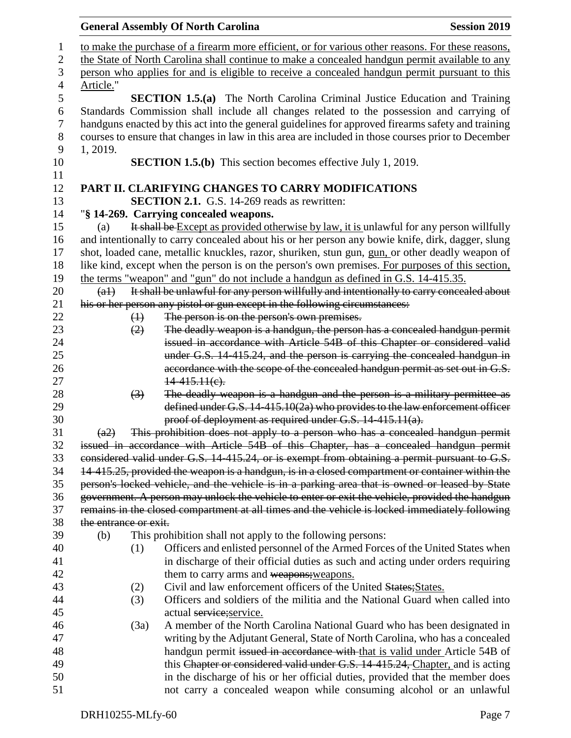|              |                       |                   | <b>General Assembly Of North Carolina</b>                                                                                                                    | <b>Session 2019</b> |
|--------------|-----------------------|-------------------|--------------------------------------------------------------------------------------------------------------------------------------------------------------|---------------------|
| $\mathbf{1}$ |                       |                   | to make the purchase of a firearm more efficient, or for various other reasons. For these reasons,                                                           |                     |
| $\mathbf{2}$ |                       |                   | the State of North Carolina shall continue to make a concealed handgun permit available to any                                                               |                     |
| 3            |                       |                   | person who applies for and is eligible to receive a concealed handgun permit pursuant to this                                                                |                     |
| 4            | Article."             |                   |                                                                                                                                                              |                     |
| 5            |                       |                   | <b>SECTION 1.5.(a)</b> The North Carolina Criminal Justice Education and Training                                                                            |                     |
| 6            |                       |                   | Standards Commission shall include all changes related to the possession and carrying of                                                                     |                     |
| $\tau$       |                       |                   | handguns enacted by this act into the general guidelines for approved firearms safety and training                                                           |                     |
| 8            |                       |                   | courses to ensure that changes in law in this area are included in those courses prior to December                                                           |                     |
| 9            | 1, 2019.              |                   |                                                                                                                                                              |                     |
| 10           |                       |                   | <b>SECTION 1.5.(b)</b> This section becomes effective July 1, 2019.                                                                                          |                     |
| 11           |                       |                   |                                                                                                                                                              |                     |
| 12           |                       |                   | PART II. CLARIFYING CHANGES TO CARRY MODIFICATIONS                                                                                                           |                     |
| 13           |                       |                   | <b>SECTION 2.1.</b> G.S. 14-269 reads as rewritten:                                                                                                          |                     |
| 14           |                       |                   | "§ 14-269. Carrying concealed weapons.                                                                                                                       |                     |
| 15           | (a)                   |                   | It shall be Except as provided otherwise by law, it is unlawful for any person willfully                                                                     |                     |
| 16           |                       |                   | and intentionally to carry concealed about his or her person any bowie knife, dirk, dagger, slung                                                            |                     |
| 17           |                       |                   | shot, loaded cane, metallic knuckles, razor, shuriken, stun gun, gun, or other deadly weapon of                                                              |                     |
| 18           |                       |                   | like kind, except when the person is on the person's own premises. For purposes of this section,                                                             |                     |
| 19           |                       |                   | the terms "weapon" and "gun" do not include a handgun as defined in G.S. 14-415.35.                                                                          |                     |
| 20           | $(a+)$                |                   | It shall be unlawful for any person willfully and intentionally to carry concealed about                                                                     |                     |
| 21           |                       |                   | his or her person any pistol or gun except in the following circumstances:                                                                                   |                     |
| 22           |                       | $\leftrightarrow$ | The person is on the person's own premises.                                                                                                                  |                     |
| 23           |                       | (2)               | The deadly weapon is a handgun, the person has a concealed handgun permit                                                                                    |                     |
| 24           |                       |                   | issued in accordance with Article 54B of this Chapter or considered valid                                                                                    |                     |
| 25           |                       |                   | under G.S. 14-415.24, and the person is carrying the concealed handgun in                                                                                    |                     |
| 26           |                       |                   | accordance with the scope of the concealed handgun permit as set out in G.S.                                                                                 |                     |
| 27           |                       |                   | $14-415.11(e)$ .                                                                                                                                             |                     |
| 28           |                       | $\left(3\right)$  | The deadly weapon is a handgun and the person is a military permittee as                                                                                     |                     |
| 29           |                       |                   | defined under G.S. 14-415.10(2a) who provides to the law enforcement officer                                                                                 |                     |
| 30           |                       |                   | proof of deployment as required under G.S. 14-415.11(a).                                                                                                     |                     |
| 31           | <del>(a2)</del>       |                   | This prohibition does not apply to a person who has a concealed handgun permit                                                                               |                     |
| 32           |                       |                   | issued in accordance with Article 54B of this Chapter, has a concealed handgun permit                                                                        |                     |
| 33           |                       |                   | considered valid under G.S. 14-415.24, or is exempt from obtaining a permit pursuant to G.S.                                                                 |                     |
| 34           |                       |                   | 14-415.25, provided the weapon is a handgun, is in a closed compartment or container within the                                                              |                     |
| 35           |                       |                   | person's locked vehicle, and the vehicle is in a parking area that is owned or leased by State                                                               |                     |
| 36           |                       |                   | government. A person may unlock the vehicle to enter or exit the vehicle, provided the handgun                                                               |                     |
| 37           |                       |                   | remains in the closed compartment at all times and the vehicle is locked immediately following                                                               |                     |
| 38           | the entrance or exit. |                   |                                                                                                                                                              |                     |
| 39           | (b)                   |                   | This prohibition shall not apply to the following persons:                                                                                                   |                     |
| 40           |                       | (1)               | Officers and enlisted personnel of the Armed Forces of the United States when                                                                                |                     |
| 41           |                       |                   | in discharge of their official duties as such and acting under orders requiring                                                                              |                     |
| 42           |                       |                   | them to carry arms and weapons; weapons.                                                                                                                     |                     |
| 43           |                       | (2)               | Civil and law enforcement officers of the United States; States.                                                                                             |                     |
| 44           |                       | (3)               | Officers and soldiers of the militia and the National Guard when called into                                                                                 |                     |
| 45           |                       |                   | actual service; service.                                                                                                                                     |                     |
| 46<br>47     |                       | (3a)              | A member of the North Carolina National Guard who has been designated in                                                                                     |                     |
| 48           |                       |                   | writing by the Adjutant General, State of North Carolina, who has a concealed<br>handgun permit issued in accordance with that is valid under Article 54B of |                     |
| 49           |                       |                   | this Chapter or considered valid under G.S. 14-415.24, Chapter, and is acting                                                                                |                     |
| 50           |                       |                   | in the discharge of his or her official duties, provided that the member does                                                                                |                     |
| 51           |                       |                   | not carry a concealed weapon while consuming alcohol or an unlawful                                                                                          |                     |
|              |                       |                   |                                                                                                                                                              |                     |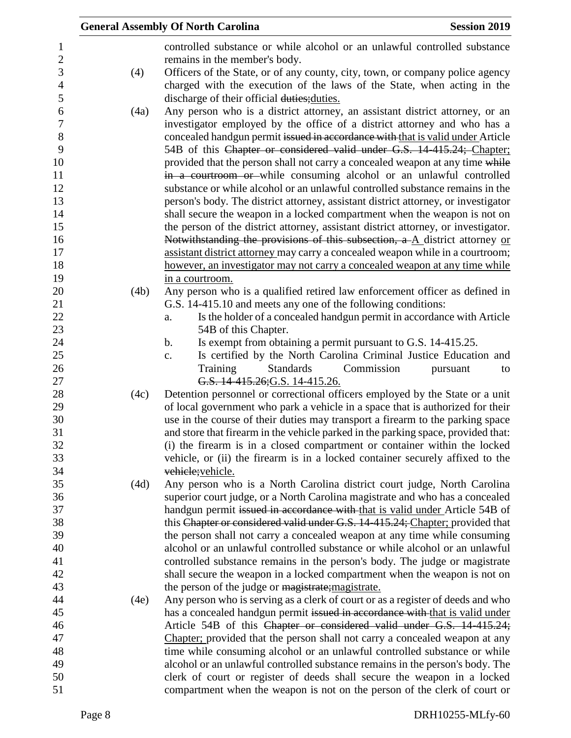|      | <b>General Assembly Of North Carolina</b>                                                                                                                           | <b>Session 2019</b> |
|------|---------------------------------------------------------------------------------------------------------------------------------------------------------------------|---------------------|
|      | controlled substance or while alcohol or an unlawful controlled substance                                                                                           |                     |
|      | remains in the member's body.                                                                                                                                       |                     |
| (4)  | Officers of the State, or of any county, city, town, or company police agency                                                                                       |                     |
|      | charged with the execution of the laws of the State, when acting in the                                                                                             |                     |
|      | discharge of their official duties; duties.                                                                                                                         |                     |
| (4a) | Any person who is a district attorney, an assistant district attorney, or an                                                                                        |                     |
|      | investigator employed by the office of a district attorney and who has a                                                                                            |                     |
|      | concealed handgun permit issued in accordance with that is valid under Article                                                                                      |                     |
|      | 54B of this Chapter or considered valid under G.S. 14-415.24; Chapter;                                                                                              |                     |
|      | provided that the person shall not carry a concealed weapon at any time while                                                                                       |                     |
|      | in a courtroom or while consuming alcohol or an unlawful controlled                                                                                                 |                     |
|      | substance or while alcohol or an unlawful controlled substance remains in the                                                                                       |                     |
|      | person's body. The district attorney, assistant district attorney, or investigator                                                                                  |                     |
|      | shall secure the weapon in a locked compartment when the weapon is not on                                                                                           |                     |
|      | the person of the district attorney, assistant district attorney, or investigator.                                                                                  |                     |
|      | Notwithstanding the provisions of this subsection, $a - A$ district attorney or                                                                                     |                     |
|      | assistant district attorney may carry a concealed weapon while in a courtroom;                                                                                      |                     |
|      | however, an investigator may not carry a concealed weapon at any time while                                                                                         |                     |
|      | in a courtroom.                                                                                                                                                     |                     |
| (4b) | Any person who is a qualified retired law enforcement officer as defined in                                                                                         |                     |
|      | G.S. 14-415.10 and meets any one of the following conditions:                                                                                                       |                     |
|      | Is the holder of a concealed handgun permit in accordance with Article<br>a.                                                                                        |                     |
|      | 54B of this Chapter.                                                                                                                                                |                     |
|      | Is exempt from obtaining a permit pursuant to G.S. 14-415.25.<br>$\mathbf b$ .                                                                                      |                     |
|      | Is certified by the North Carolina Criminal Justice Education and<br>c.                                                                                             |                     |
|      | Training<br><b>Standards</b><br>Commission                                                                                                                          | pursuant<br>to      |
|      | G.S. 14-415.26; G.S. 14-415.26.                                                                                                                                     |                     |
| (4c) | Detention personnel or correctional officers employed by the State or a unit                                                                                        |                     |
|      | of local government who park a vehicle in a space that is authorized for their                                                                                      |                     |
|      | use in the course of their duties may transport a firearm to the parking space<br>and store that firearm in the vehicle parked in the parking space, provided that: |                     |
|      | (i) the firearm is in a closed compartment or container within the locked                                                                                           |                     |
|      | vehicle, or (ii) the firearm is in a locked container securely affixed to the                                                                                       |                     |
|      | vehicle; vehicle.                                                                                                                                                   |                     |
| (4d) | Any person who is a North Carolina district court judge, North Carolina                                                                                             |                     |
|      | superior court judge, or a North Carolina magistrate and who has a concealed                                                                                        |                     |
|      | handgun permit issued in accordance with that is valid under Article 54B of                                                                                         |                     |
|      | this Chapter or considered valid under G.S. 14-415.24; Chapter; provided that                                                                                       |                     |
|      | the person shall not carry a concealed weapon at any time while consuming                                                                                           |                     |
|      | alcohol or an unlawful controlled substance or while alcohol or an unlawful                                                                                         |                     |
|      | controlled substance remains in the person's body. The judge or magistrate                                                                                          |                     |
|      | shall secure the weapon in a locked compartment when the weapon is not on                                                                                           |                     |
|      | the person of the judge or magistrate; magistrate.                                                                                                                  |                     |
| (4e) | Any person who is serving as a clerk of court or as a register of deeds and who                                                                                     |                     |
|      | has a concealed handgun permit issued in accordance with that is valid under                                                                                        |                     |
|      | Article 54B of this Chapter or considered valid under G.S. 14-415.24;                                                                                               |                     |
|      | Chapter; provided that the person shall not carry a concealed weapon at any                                                                                         |                     |
|      | time while consuming alcohol or an unlawful controlled substance or while                                                                                           |                     |
|      | alcohol or an unlawful controlled substance remains in the person's body. The                                                                                       |                     |
|      | clerk of court or register of deeds shall secure the weapon in a locked                                                                                             |                     |
|      | compartment when the weapon is not on the person of the clerk of court or                                                                                           |                     |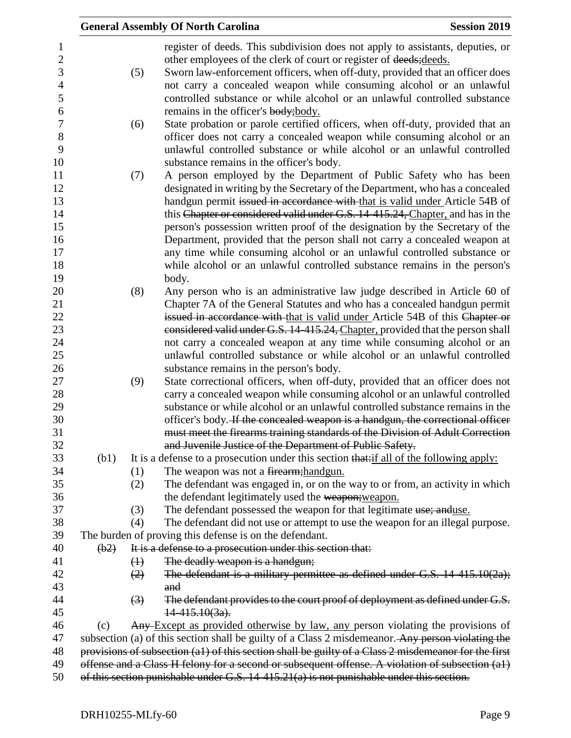|      |                   | <b>General Assembly Of North Carolina</b>                                                                                                                                            | <b>Session 2019</b> |
|------|-------------------|--------------------------------------------------------------------------------------------------------------------------------------------------------------------------------------|---------------------|
|      |                   | register of deeds. This subdivision does not apply to assistants, deputies, or<br>other employees of the clerk of court or register of deeds; deeds.                                 |                     |
|      | (5)               | Sworn law-enforcement officers, when off-duty, provided that an officer does                                                                                                         |                     |
|      |                   | not carry a concealed weapon while consuming alcohol or an unlawful                                                                                                                  |                     |
|      |                   | controlled substance or while alcohol or an unlawful controlled substance                                                                                                            |                     |
|      |                   | remains in the officer's body; body.                                                                                                                                                 |                     |
|      | (6)               | State probation or parole certified officers, when off-duty, provided that an                                                                                                        |                     |
|      |                   | officer does not carry a concealed weapon while consuming alcohol or an                                                                                                              |                     |
|      |                   | unlawful controlled substance or while alcohol or an unlawful controlled                                                                                                             |                     |
|      |                   | substance remains in the officer's body.                                                                                                                                             |                     |
|      | (7)               | A person employed by the Department of Public Safety who has been                                                                                                                    |                     |
|      |                   | designated in writing by the Secretary of the Department, who has a concealed                                                                                                        |                     |
|      |                   | handgun permit issued in accordance with that is valid under Article 54B of                                                                                                          |                     |
|      |                   | this Chapter or considered valid under G.S. 14-415.24, Chapter, and has in the                                                                                                       |                     |
|      |                   | person's possession written proof of the designation by the Secretary of the                                                                                                         |                     |
|      |                   | Department, provided that the person shall not carry a concealed weapon at                                                                                                           |                     |
|      |                   | any time while consuming alcohol or an unlawful controlled substance or                                                                                                              |                     |
|      |                   | while alcohol or an unlawful controlled substance remains in the person's                                                                                                            |                     |
|      |                   | body.                                                                                                                                                                                |                     |
|      | (8)               | Any person who is an administrative law judge described in Article 60 of                                                                                                             |                     |
|      |                   | Chapter 7A of the General Statutes and who has a concealed handgun permit                                                                                                            |                     |
|      |                   | issued in accordance with that is valid under Article 54B of this Chapter or                                                                                                         |                     |
|      |                   | considered valid under G.S. 14-415.24, Chapter, provided that the person shall                                                                                                       |                     |
|      |                   | not carry a concealed weapon at any time while consuming alcohol or an                                                                                                               |                     |
|      |                   | unlawful controlled substance or while alcohol or an unlawful controlled                                                                                                             |                     |
|      | (9)               | substance remains in the person's body.<br>State correctional officers, when off-duty, provided that an officer does not                                                             |                     |
|      |                   | carry a concealed weapon while consuming alcohol or an unlawful controlled                                                                                                           |                     |
|      |                   | substance or while alcohol or an unlawful controlled substance remains in the                                                                                                        |                     |
|      |                   | officer's body. If the concealed weapon is a handgun, the correctional officer                                                                                                       |                     |
|      |                   | must meet the firearms training standards of the Division of Adult Correction                                                                                                        |                     |
|      |                   | and Juvenile Justice of the Department of Public Safety.                                                                                                                             |                     |
| (b1) |                   | It is a defense to a prosecution under this section that: if all of the following apply:                                                                                             |                     |
|      | (1)               | The weapon was not a firearm; handgun.                                                                                                                                               |                     |
|      | (2)               | The defendant was engaged in, or on the way to or from, an activity in which                                                                                                         |                     |
|      |                   | the defendant legitimately used the weapon; weapon.                                                                                                                                  |                     |
|      | (3)               | The defendant possessed the weapon for that legitimate use; anduse.                                                                                                                  |                     |
|      | (4)               | The defendant did not use or attempt to use the weapon for an illegal purpose.                                                                                                       |                     |
|      |                   | The burden of proving this defense is on the defendant.                                                                                                                              |                     |
| (b2) |                   | It is a defense to a prosecution under this section that:                                                                                                                            |                     |
|      | $\leftrightarrow$ | The deadly weapon is a handgun;                                                                                                                                                      |                     |
|      | (2)               | The defendant is a military permittee as defined under G.S. 14-415.10(2a);                                                                                                           |                     |
|      |                   | and                                                                                                                                                                                  |                     |
|      | $\left(3\right)$  | The defendant provides to the court proof of deployment as defined under G.S.                                                                                                        |                     |
|      |                   | $14-415.10(3a)$ .                                                                                                                                                                    |                     |
| (c)  |                   | Any Except as provided otherwise by law, any person violating the provisions of<br>subsection (a) of this section shall be guilty of a Class 2 misdemeanor. Any person violating the |                     |
|      |                   | provisions of subsection (a1) of this section shall be guilty of a Class 2 misdemeanor for the first                                                                                 |                     |
|      |                   | offense and a Class H felony for a second or subsequent offense. A violation of subsection (a1)                                                                                      |                     |
|      |                   | of this section punishable under G.S. $14-415.21(a)$ is not punishable under this section.                                                                                           |                     |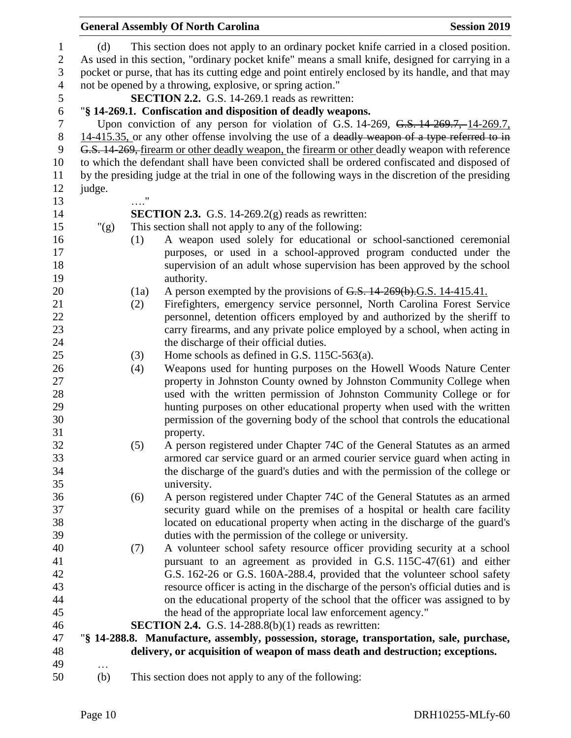|                  |         |                         | <b>General Assembly Of North Carolina</b>                                                           | <b>Session 2019</b> |
|------------------|---------|-------------------------|-----------------------------------------------------------------------------------------------------|---------------------|
| $\mathbf{1}$     | (d)     |                         | This section does not apply to an ordinary pocket knife carried in a closed position.               |                     |
| $\mathbf{2}$     |         |                         | As used in this section, "ordinary pocket knife" means a small knife, designed for carrying in a    |                     |
| 3                |         |                         | pocket or purse, that has its cutting edge and point entirely enclosed by its handle, and that may  |                     |
| $\overline{4}$   |         |                         | not be opened by a throwing, explosive, or spring action."                                          |                     |
| 5                |         |                         | SECTION 2.2. G.S. 14-269.1 reads as rewritten:                                                      |                     |
| $\boldsymbol{6}$ |         |                         | "§ 14-269.1. Confiscation and disposition of deadly weapons.                                        |                     |
| $\tau$           |         |                         | Upon conviction of any person for violation of G.S. $14-269$ , G.S. $14-269.7$ , $14-269.7$ ,       |                     |
| $8\,$            |         |                         | 14-415.35, or any other offense involving the use of a deadly weapon of a type referred to in       |                     |
| 9                |         |                         | G.S. 14-269, firearm or other deadly weapon, the firearm or other deadly weapon with reference      |                     |
| 10               |         |                         | to which the defendant shall have been convicted shall be ordered confiscated and disposed of       |                     |
| 11               |         |                         | by the presiding judge at the trial in one of the following ways in the discretion of the presiding |                     |
| 12               | judge.  |                         |                                                                                                     |                     |
| 13               |         | $\ldots\overset{''}{.}$ |                                                                                                     |                     |
| 14               |         |                         | <b>SECTION 2.3.</b> G.S. 14-269.2(g) reads as rewritten:                                            |                     |
| 15               | " $(g)$ |                         | This section shall not apply to any of the following:                                               |                     |
| 16               |         | (1)                     | A weapon used solely for educational or school-sanctioned ceremonial                                |                     |
| 17               |         |                         | purposes, or used in a school-approved program conducted under the                                  |                     |
| 18               |         |                         | supervision of an adult whose supervision has been approved by the school                           |                     |
| 19               |         |                         | authority.                                                                                          |                     |
| 20               |         | (1a)                    | A person exempted by the provisions of G.S. 14-269(b).G.S. 14-415.41.                               |                     |
| 21               |         | (2)                     | Firefighters, emergency service personnel, North Carolina Forest Service                            |                     |
| 22               |         |                         | personnel, detention officers employed by and authorized by the sheriff to                          |                     |
| 23               |         |                         | carry firearms, and any private police employed by a school, when acting in                         |                     |
| 24               |         |                         | the discharge of their official duties.                                                             |                     |
| 25               |         | (3)                     | Home schools as defined in G.S. 115C-563(a).                                                        |                     |
| 26               |         | (4)                     | Weapons used for hunting purposes on the Howell Woods Nature Center                                 |                     |
| 27               |         |                         | property in Johnston County owned by Johnston Community College when                                |                     |
| 28               |         |                         | used with the written permission of Johnston Community College or for                               |                     |
| 29               |         |                         | hunting purposes on other educational property when used with the written                           |                     |
| 30               |         |                         | permission of the governing body of the school that controls the educational                        |                     |
| 31               |         |                         | property.                                                                                           |                     |
| 32               |         | (5)                     | A person registered under Chapter 74C of the General Statutes as an armed                           |                     |
| 33               |         |                         | armored car service guard or an armed courier service guard when acting in                          |                     |
| 34               |         |                         | the discharge of the guard's duties and with the permission of the college or                       |                     |
| 35               |         |                         | university.                                                                                         |                     |
| 36               |         | (6)                     | A person registered under Chapter 74C of the General Statutes as an armed                           |                     |
| 37               |         |                         | security guard while on the premises of a hospital or health care facility                          |                     |
| 38               |         |                         | located on educational property when acting in the discharge of the guard's                         |                     |
| 39               |         |                         | duties with the permission of the college or university.                                            |                     |
| 40               |         | (7)                     | A volunteer school safety resource officer providing security at a school                           |                     |
| 41               |         |                         | pursuant to an agreement as provided in G.S. 115C-47(61) and either                                 |                     |
| 42               |         |                         | G.S. 162-26 or G.S. 160A-288.4, provided that the volunteer school safety                           |                     |
| 43               |         |                         | resource officer is acting in the discharge of the person's official duties and is                  |                     |
| 44               |         |                         | on the educational property of the school that the officer was assigned to by                       |                     |
| 45               |         |                         | the head of the appropriate local law enforcement agency."                                          |                     |
| 46               |         |                         | <b>SECTION 2.4.</b> G.S. 14-288.8(b)(1) reads as rewritten:                                         |                     |
| 47               |         |                         | "§ 14-288.8. Manufacture, assembly, possession, storage, transportation, sale, purchase,            |                     |
| 48               |         |                         | delivery, or acquisition of weapon of mass death and destruction; exceptions.                       |                     |
| 49               | .       |                         |                                                                                                     |                     |
| 50               | (b)     |                         | This section does not apply to any of the following:                                                |                     |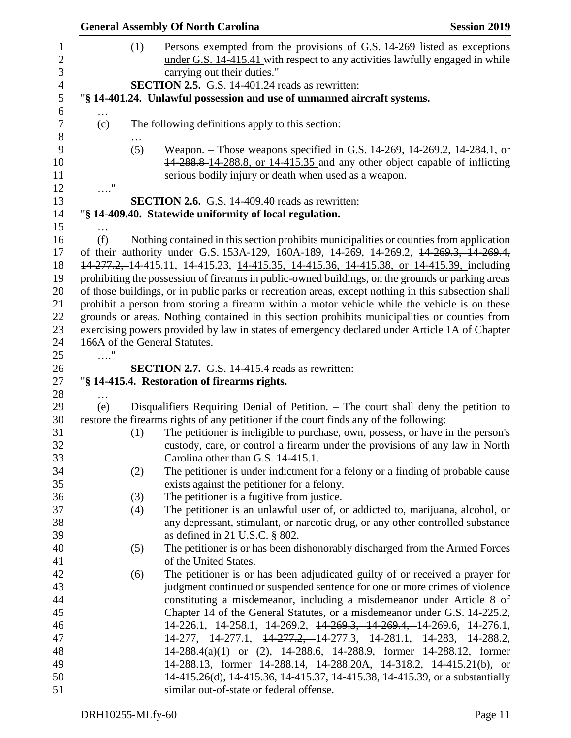|            |     | <b>General Assembly Of North Carolina</b>                                                                                                                                                                             | <b>Session 2019</b> |
|------------|-----|-----------------------------------------------------------------------------------------------------------------------------------------------------------------------------------------------------------------------|---------------------|
|            | (1) | Persons exempted from the provisions of G.S. 14-269-listed as exceptions<br>under G.S. 14-415.41 with respect to any activities lawfully engaged in while<br>carrying out their duties."                              |                     |
|            |     | SECTION 2.5. G.S. 14-401.24 reads as rewritten:                                                                                                                                                                       |                     |
|            |     | "§ 14-401.24. Unlawful possession and use of unmanned aircraft systems.                                                                                                                                               |                     |
|            |     |                                                                                                                                                                                                                       |                     |
| (c)        |     | The following definitions apply to this section:                                                                                                                                                                      |                     |
|            | (5) | Weapon. – Those weapons specified in G.S. 14-269, 14-269.2, 14-284.1, $\theta$<br>14-288.8-14-288.8, or 14-415.35 and any other object capable of inflicting<br>serious bodily injury or death when used as a weapon. |                     |
| $\ldots$ " |     |                                                                                                                                                                                                                       |                     |
|            |     | <b>SECTION 2.6.</b> G.S. 14-409.40 reads as rewritten:                                                                                                                                                                |                     |
|            |     | "§ 14-409.40. Statewide uniformity of local regulation.                                                                                                                                                               |                     |
| (f)        |     | Nothing contained in this section prohibits municipalities or counties from application                                                                                                                               |                     |
|            |     | of their authority under G.S. 153A-129, 160A-189, 14-269, 14-269.2, 14-269.3, 14-269.4,                                                                                                                               |                     |
|            |     | 14-277.2, 14-415.11, 14-415.23, 14-415.35, 14-415.36, 14-415.38, or 14-415.39, including                                                                                                                              |                     |
|            |     | prohibiting the possession of firearms in public-owned buildings, on the grounds or parking areas                                                                                                                     |                     |
|            |     | of those buildings, or in public parks or recreation areas, except nothing in this subsection shall                                                                                                                   |                     |
|            |     | prohibit a person from storing a firearm within a motor vehicle while the vehicle is on these                                                                                                                         |                     |
|            |     | grounds or areas. Nothing contained in this section prohibits municipalities or counties from                                                                                                                         |                     |
|            |     | exercising powers provided by law in states of emergency declared under Article 1A of Chapter                                                                                                                         |                     |
|            |     | 166A of the General Statutes.                                                                                                                                                                                         |                     |
| $\ldots$ " |     |                                                                                                                                                                                                                       |                     |
|            |     | <b>SECTION 2.7.</b> G.S. 14-415.4 reads as rewritten:                                                                                                                                                                 |                     |
|            |     | "§ 14-415.4. Restoration of firearms rights.                                                                                                                                                                          |                     |
|            |     |                                                                                                                                                                                                                       |                     |
| (e)        |     | Disqualifiers Requiring Denial of Petition. – The court shall deny the petition to                                                                                                                                    |                     |
|            |     | restore the firearms rights of any petitioner if the court finds any of the following:                                                                                                                                |                     |
|            | (1) | The petitioner is ineligible to purchase, own, possess, or have in the person's<br>custody, care, or control a firearm under the provisions of any law in North<br>Carolina other than G.S. 14-415.1.                 |                     |
|            | (2) | The petitioner is under indictment for a felony or a finding of probable cause                                                                                                                                        |                     |
|            |     | exists against the petitioner for a felony.                                                                                                                                                                           |                     |
|            | (3) | The petitioner is a fugitive from justice.                                                                                                                                                                            |                     |
|            | (4) | The petitioner is an unlawful user of, or addicted to, marijuana, alcohol, or                                                                                                                                         |                     |
|            |     | any depressant, stimulant, or narcotic drug, or any other controlled substance                                                                                                                                        |                     |
|            |     | as defined in 21 U.S.C. $\S$ 802.                                                                                                                                                                                     |                     |
|            | (5) | The petitioner is or has been dishonorably discharged from the Armed Forces                                                                                                                                           |                     |
|            |     | of the United States.                                                                                                                                                                                                 |                     |
|            | (6) | The petitioner is or has been adjudicated guilty of or received a prayer for                                                                                                                                          |                     |
|            |     | judgment continued or suspended sentence for one or more crimes of violence                                                                                                                                           |                     |
|            |     | constituting a misdemeanor, including a misdemeanor under Article 8 of                                                                                                                                                |                     |
|            |     | Chapter 14 of the General Statutes, or a misdemeanor under G.S. 14-225.2,                                                                                                                                             |                     |
|            |     | 14-226.1, 14-258.1, 14-269.2, <del>14-269.3, 14-269.4,</del> 14-269.6, 14-276.1,                                                                                                                                      |                     |
|            |     | 14-277, 14-277.1, <del>14-277.2, 1</del> 4-277.3, 14-281.1, 14-283, 14-288.2,                                                                                                                                         |                     |
|            |     | 14-288.4(a)(1) or (2), 14-288.6, 14-288.9, former 14-288.12, former                                                                                                                                                   |                     |
|            |     | 14-288.13, former 14-288.14, 14-288.20A, 14-318.2, 14-415.21(b), or                                                                                                                                                   |                     |
|            |     | 14-415.26(d), 14-415.36, 14-415.37, 14-415.38, 14-415.39, or a substantially                                                                                                                                          |                     |
|            |     | similar out-of-state or federal offense.                                                                                                                                                                              |                     |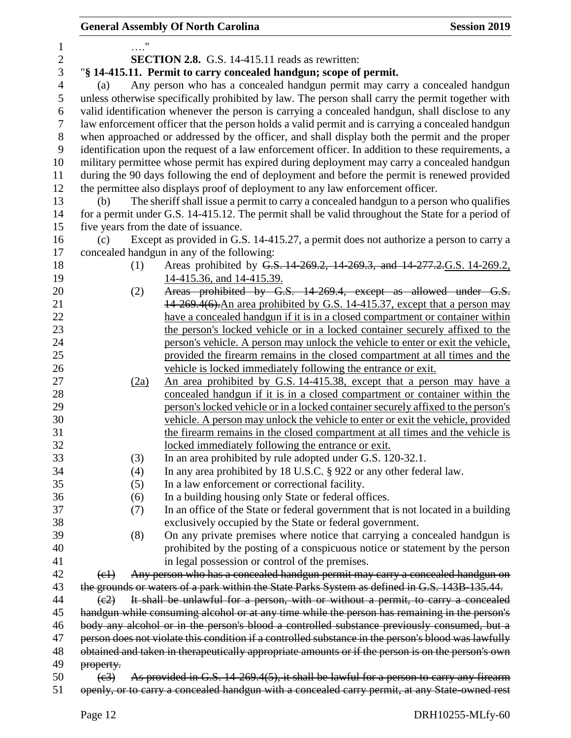|                |                           | <b>General Assembly Of North Carolina</b>                                                                                           | <b>Session 2019</b> |
|----------------|---------------------------|-------------------------------------------------------------------------------------------------------------------------------------|---------------------|
| $\mathbf 1$    |                           |                                                                                                                                     |                     |
| $\overline{2}$ |                           | <b>SECTION 2.8.</b> G.S. 14-415.11 reads as rewritten:                                                                              |                     |
| 3              |                           | "\\$14-415.11. Permit to carry concealed handgun; scope of permit.                                                                  |                     |
| $\overline{4}$ | (a)                       | Any person who has a concealed handgun permit may carry a concealed handgun                                                         |                     |
| 5              |                           | unless otherwise specifically prohibited by law. The person shall carry the permit together with                                    |                     |
| 6              |                           | valid identification whenever the person is carrying a concealed handgun, shall disclose to any                                     |                     |
| $\overline{7}$ |                           | law enforcement officer that the person holds a valid permit and is carrying a concealed handgun                                    |                     |
| 8              |                           | when approached or addressed by the officer, and shall display both the permit and the proper                                       |                     |
| 9              |                           | identification upon the request of a law enforcement officer. In addition to these requirements, a                                  |                     |
| 10             |                           | military permittee whose permit has expired during deployment may carry a concealed handgun                                         |                     |
| 11             |                           | during the 90 days following the end of deployment and before the permit is renewed provided                                        |                     |
| 12             |                           | the permittee also displays proof of deployment to any law enforcement officer.                                                     |                     |
| 13             | (b)                       | The sheriff shall issue a permit to carry a concealed handgun to a person who qualifies                                             |                     |
| 14             |                           | for a permit under G.S. 14-415.12. The permit shall be valid throughout the State for a period of                                   |                     |
| 15             |                           | five years from the date of issuance.                                                                                               |                     |
| 16             | (c)                       | Except as provided in G.S. 14-415.27, a permit does not authorize a person to carry a                                               |                     |
| 17             |                           | concealed handgun in any of the following:                                                                                          |                     |
| 18             | (1)                       | Areas prohibited by G.S. 14-269.2, 14-269.3, and 14-277.2.G.S. 14-269.2,                                                            |                     |
| 19             |                           | 14-415.36, and 14-415.39.                                                                                                           |                     |
| 20             | (2)                       | Areas prohibited by G.S. 14-269.4, except as allowed under G.S.                                                                     |                     |
| 21             |                           | 14-269.4(6). An area prohibited by G.S. 14-415.37, except that a person may                                                         |                     |
| 22             |                           | have a concealed handgun if it is in a closed compartment or container within                                                       |                     |
| 23             |                           | the person's locked vehicle or in a locked container securely affixed to the                                                        |                     |
| 24             |                           | person's vehicle. A person may unlock the vehicle to enter or exit the vehicle,                                                     |                     |
| 25             |                           | provided the firearm remains in the closed compartment at all times and the                                                         |                     |
| 26             |                           | vehicle is locked immediately following the entrance or exit.                                                                       |                     |
| 27             |                           | An area prohibited by G.S. 14-415.38, except that a person may have a<br>(2a)                                                       |                     |
| 28             |                           | concealed handgun if it is in a closed compartment or container within the                                                          |                     |
| 29             |                           | person's locked vehicle or in a locked container securely affixed to the person's                                                   |                     |
| 30<br>31       |                           | vehicle. A person may unlock the vehicle to enter or exit the vehicle, provided                                                     |                     |
| 32             |                           | the firearm remains in the closed compartment at all times and the vehicle is<br>locked immediately following the entrance or exit. |                     |
| 33             | (3)                       | In an area prohibited by rule adopted under G.S. 120-32.1.                                                                          |                     |
| 34             | (4)                       | In any area prohibited by 18 U.S.C. § 922 or any other federal law.                                                                 |                     |
| 35             | (5)                       | In a law enforcement or correctional facility.                                                                                      |                     |
| 36             | (6)                       | In a building housing only State or federal offices.                                                                                |                     |
| 37             | (7)                       | In an office of the State or federal government that is not located in a building                                                   |                     |
| 38             |                           | exclusively occupied by the State or federal government.                                                                            |                     |
| 39             | (8)                       | On any private premises where notice that carrying a concealed handgun is                                                           |                     |
| 40             |                           | prohibited by the posting of a conspicuous notice or statement by the person                                                        |                     |
| 41             |                           | in legal possession or control of the premises.                                                                                     |                     |
| 42             | $\left(\mathrm{e}\right)$ | Any person who has a concealed handgun permit may carry a concealed handgun on                                                      |                     |
| 43             |                           | the grounds or waters of a park within the State Parks System as defined in G.S. 143B 135.44.                                       |                     |
| 44             | (e2)                      | It shall be unlawful for a person, with or without a permit, to carry a concealed                                                   |                     |
| 45             |                           | handgun while consuming alcohol or at any time while the person has remaining in the person's                                       |                     |
| 46             |                           | body any alcohol or in the person's blood a controlled substance previously consumed, but a                                         |                     |
| 47             |                           | person does not violate this condition if a controlled substance in the person's blood was lawfully                                 |                     |
| 48             |                           | obtained and taken in therapeutically appropriate amounts or if the person is on the person's own                                   |                     |
| 49             | property.                 |                                                                                                                                     |                     |
| 50             | (e3)                      | As provided in G.S. 14-269.4(5), it shall be lawful for a person to carry any firearm                                               |                     |
| 51             |                           | openly, or to carry a concealed handgun with a concealed carry permit, at any State-owned rest                                      |                     |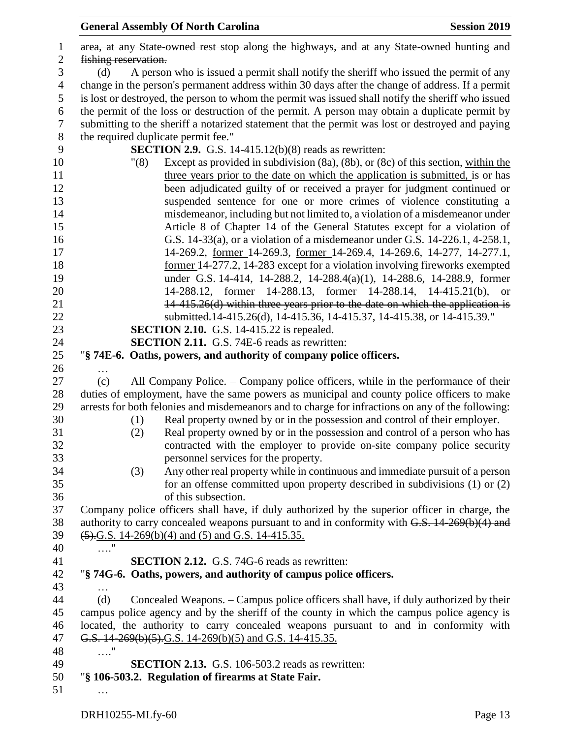|                |                      |      | <b>General Assembly Of North Carolina</b>                                                          | <b>Session 2019</b> |  |
|----------------|----------------------|------|----------------------------------------------------------------------------------------------------|---------------------|--|
| $\mathbf{1}$   |                      |      | area, at any State owned rest stop along the highways, and at any State owned hunting and          |                     |  |
| $\mathbf{2}$   | fishing reservation. |      |                                                                                                    |                     |  |
| 3              | (d)                  |      | A person who is issued a permit shall notify the sheriff who issued the permit of any              |                     |  |
| $\overline{4}$ |                      |      | change in the person's permanent address within 30 days after the change of address. If a permit   |                     |  |
| 5              |                      |      | is lost or destroyed, the person to whom the permit was issued shall notify the sheriff who issued |                     |  |
| 6              |                      |      | the permit of the loss or destruction of the permit. A person may obtain a duplicate permit by     |                     |  |
| $\tau$         |                      |      | submitting to the sheriff a notarized statement that the permit was lost or destroyed and paying   |                     |  |
| 8              |                      |      | the required duplicate permit fee."                                                                |                     |  |
| 9              |                      |      | <b>SECTION 2.9.</b> G.S. 14-415.12(b)(8) reads as rewritten:                                       |                     |  |
| 10             |                      | "(8) | Except as provided in subdivision $(8a)$ , $(8b)$ , or $(8c)$ of this section, within the          |                     |  |
| 11             |                      |      | three years prior to the date on which the application is submitted, is or has                     |                     |  |
| 12             |                      |      | been adjudicated guilty of or received a prayer for judgment continued or                          |                     |  |
| 13             |                      |      | suspended sentence for one or more crimes of violence constituting a                               |                     |  |
| 14             |                      |      | misdemeanor, including but not limited to, a violation of a misdemeanor under                      |                     |  |
| 15             |                      |      | Article 8 of Chapter 14 of the General Statutes except for a violation of                          |                     |  |
| 16             |                      |      | G.S. 14-33(a), or a violation of a misdemeanor under G.S. 14-226.1, 4-258.1,                       |                     |  |
| 17             |                      |      | 14-269.2, former 14-269.3, former 14-269.4, 14-269.6, 14-277, 14-277.1,                            |                     |  |
| 18             |                      |      | <u>former</u> 14-277.2, 14-283 except for a violation involving fireworks exempted                 |                     |  |
| 19             |                      |      | under G.S. 14-414, 14-288.2, 14-288.4(a)(1), 14-288.6, 14-288.9, former                            |                     |  |
| 20             |                      |      | 14-288.12, former 14-288.13, former 14-288.14, 14-415.21(b), or                                    |                     |  |
| 21             |                      |      | 14-415.26(d) within three years prior to the date on which the application is                      |                     |  |
| $22\,$         |                      |      | submitted.14-415.26(d), 14-415.36, 14-415.37, 14-415.38, or 14-415.39."                            |                     |  |
| 23             |                      |      | <b>SECTION 2.10.</b> G.S. 14-415.22 is repealed.                                                   |                     |  |
| 24             |                      |      | <b>SECTION 2.11.</b> G.S. 74E-6 reads as rewritten:                                                |                     |  |
| $25\,$         |                      |      | "§ 74E-6. Oaths, powers, and authority of company police officers.                                 |                     |  |
| 26             |                      |      |                                                                                                    |                     |  |
| 27             | (c)                  |      | All Company Police. – Company police officers, while in the performance of their                   |                     |  |
| 28             |                      |      | duties of employment, have the same powers as municipal and county police officers to make         |                     |  |
| 29             |                      |      | arrests for both felonies and misdemeanors and to charge for infractions on any of the following:  |                     |  |
| 30             |                      | (1)  | Real property owned by or in the possession and control of their employer.                         |                     |  |
| 31             |                      | (2)  | Real property owned by or in the possession and control of a person who has                        |                     |  |
| 32             |                      |      | contracted with the employer to provide on-site company police security                            |                     |  |
| 33             |                      |      | personnel services for the property.                                                               |                     |  |
| 34             |                      | (3)  | Any other real property while in continuous and immediate pursuit of a person                      |                     |  |
| 35             |                      |      | for an offense committed upon property described in subdivisions $(1)$ or $(2)$                    |                     |  |
| 36             |                      |      | of this subsection.                                                                                |                     |  |
| 37             |                      |      | Company police officers shall have, if duly authorized by the superior officer in charge, the      |                     |  |
| 38             |                      |      | authority to carry concealed weapons pursuant to and in conformity with G.S. 14-269(b)(4) and      |                     |  |
| 39             |                      |      | $(5)$ .G.S. 14-269(b)(4) and (5) and G.S. 14-415.35.                                               |                     |  |
| 40             | '. <sup>1</sup>      |      |                                                                                                    |                     |  |
| 41             |                      |      | <b>SECTION 2.12.</b> G.S. 74G-6 reads as rewritten:                                                |                     |  |
| 42             |                      |      | "§ 74G-6. Oaths, powers, and authority of campus police officers.                                  |                     |  |
| 43             | .                    |      |                                                                                                    |                     |  |
| 44             | (d)                  |      | Concealed Weapons. – Campus police officers shall have, if duly authorized by their                |                     |  |
| 45             |                      |      | campus police agency and by the sheriff of the county in which the campus police agency is         |                     |  |
| 46             |                      |      | located, the authority to carry concealed weapons pursuant to and in conformity with               |                     |  |
| 47             |                      |      | G.S. 14-269(b)(5).G.S. 14-269(b)(5) and G.S. 14-415.35.                                            |                     |  |
| 48             | $\ldots$ "           |      |                                                                                                    |                     |  |
| 49             |                      |      | <b>SECTION 2.13.</b> G.S. 106-503.2 reads as rewritten:                                            |                     |  |
| 50             |                      |      | "§ 106-503.2. Regulation of firearms at State Fair.                                                |                     |  |
| 51             |                      |      |                                                                                                    |                     |  |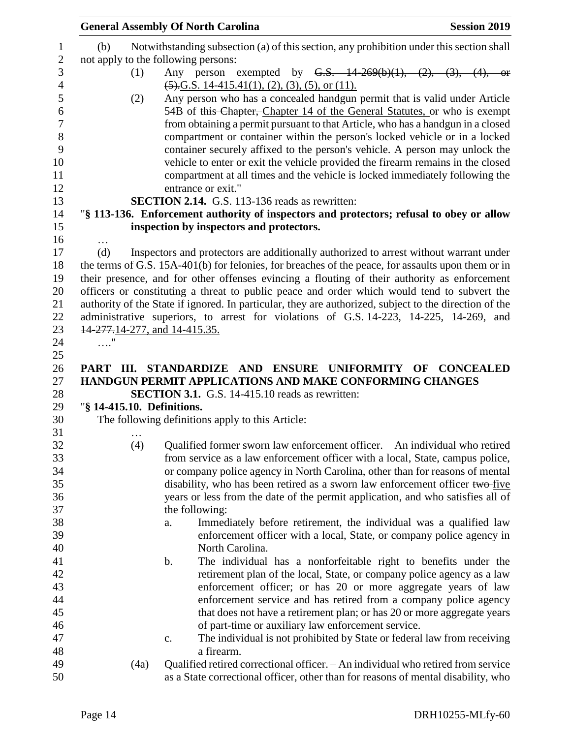|                                    | <b>General Assembly Of North Carolina</b>                                                                                                                       | <b>Session 2019</b>                                                     |
|------------------------------------|-----------------------------------------------------------------------------------------------------------------------------------------------------------------|-------------------------------------------------------------------------|
| (b)                                | Notwithstanding subsection (a) of this section, any prohibition under this section shall<br>not apply to the following persons:                                 |                                                                         |
|                                    |                                                                                                                                                                 |                                                                         |
| (1)                                | Any person exempted by $G.S.$ $14-269(b)(1)$ , $(2)$ , $(3)$ , $(4)$ , or                                                                                       |                                                                         |
|                                    | $(5)$ , G.S. 14-415.41(1), (2), (3), (5), or (11).                                                                                                              |                                                                         |
| (2)                                | Any person who has a concealed handgun permit that is valid under Article                                                                                       |                                                                         |
|                                    | 54B of this Chapter, Chapter 14 of the General Statutes, or who is exempt                                                                                       |                                                                         |
|                                    | from obtaining a permit pursuant to that Article, who has a handgun in a closed                                                                                 |                                                                         |
|                                    | compartment or container within the person's locked vehicle or in a locked                                                                                      |                                                                         |
|                                    | container securely affixed to the person's vehicle. A person may unlock the                                                                                     |                                                                         |
|                                    | vehicle to enter or exit the vehicle provided the firearm remains in the closed<br>compartment at all times and the vehicle is locked immediately following the |                                                                         |
|                                    | entrance or exit."                                                                                                                                              |                                                                         |
|                                    | <b>SECTION 2.14.</b> G.S. 113-136 reads as rewritten:                                                                                                           |                                                                         |
|                                    | "§ 113-136. Enforcement authority of inspectors and protectors; refusal to obey or allow                                                                        |                                                                         |
|                                    | inspection by inspectors and protectors.                                                                                                                        |                                                                         |
|                                    |                                                                                                                                                                 |                                                                         |
| .<br>(d)                           | Inspectors and protectors are additionally authorized to arrest without warrant under                                                                           |                                                                         |
|                                    | the terms of G.S. 15A-401(b) for felonies, for breaches of the peace, for assaults upon them or in                                                              |                                                                         |
|                                    | their presence, and for other offenses evincing a flouting of their authority as enforcement                                                                    |                                                                         |
|                                    | officers or constituting a threat to public peace and order which would tend to subvert the                                                                     |                                                                         |
|                                    | authority of the State if ignored. In particular, they are authorized, subject to the direction of the                                                          |                                                                         |
|                                    | administrative superiors, to arrest for violations of G.S. 14-223, 14-225, 14-269, and                                                                          |                                                                         |
| 14-277, 14-277, and 14-415.35.     |                                                                                                                                                                 |                                                                         |
| $\ldots$ "                         |                                                                                                                                                                 |                                                                         |
|                                    |                                                                                                                                                                 |                                                                         |
|                                    | PART III. STANDARDIZE AND ENSURE UNIFORMITY OF CONCEALED                                                                                                        |                                                                         |
|                                    | HANDGUN PERMIT APPLICATIONS AND MAKE CONFORMING CHANGES                                                                                                         |                                                                         |
|                                    | <b>SECTION 3.1.</b> G.S. 14-415.10 reads as rewritten:                                                                                                          |                                                                         |
| "§ 14-415.10. Definitions.         |                                                                                                                                                                 |                                                                         |
|                                    | The following definitions apply to this Article:                                                                                                                |                                                                         |
| $\sim$ $\sim$ $\sim$ $\sim$ $\sim$ |                                                                                                                                                                 |                                                                         |
| (4)                                | Qualified former sworn law enforcement officer. - An individual who retired                                                                                     |                                                                         |
|                                    | from service as a law enforcement officer with a local, State, campus police,                                                                                   |                                                                         |
|                                    | or company police agency in North Carolina, other than for reasons of mental                                                                                    |                                                                         |
|                                    | disability, who has been retired as a sworn law enforcement officer two-five                                                                                    |                                                                         |
|                                    | years or less from the date of the permit application, and who satisfies all of<br>the following:                                                               |                                                                         |
|                                    | Immediately before retirement, the individual was a qualified law<br>a.                                                                                         |                                                                         |
|                                    | enforcement officer with a local, State, or company police agency in                                                                                            |                                                                         |
|                                    | North Carolina.                                                                                                                                                 |                                                                         |
|                                    | The individual has a nonforfeitable right to benefits under the<br>b.                                                                                           |                                                                         |
|                                    | retirement plan of the local, State, or company police agency as a law                                                                                          |                                                                         |
|                                    | enforcement officer; or has 20 or more aggregate years of law                                                                                                   |                                                                         |
|                                    | enforcement service and has retired from a company police agency                                                                                                |                                                                         |
|                                    |                                                                                                                                                                 |                                                                         |
|                                    |                                                                                                                                                                 |                                                                         |
|                                    |                                                                                                                                                                 | that does not have a retirement plan; or has 20 or more aggregate years |
|                                    | of part-time or auxiliary law enforcement service.<br>c.                                                                                                        |                                                                         |
|                                    | The individual is not prohibited by State or federal law from receiving<br>a firearm.                                                                           |                                                                         |
| (4a)                               | Qualified retired correctional officer. - An individual who retired from service                                                                                |                                                                         |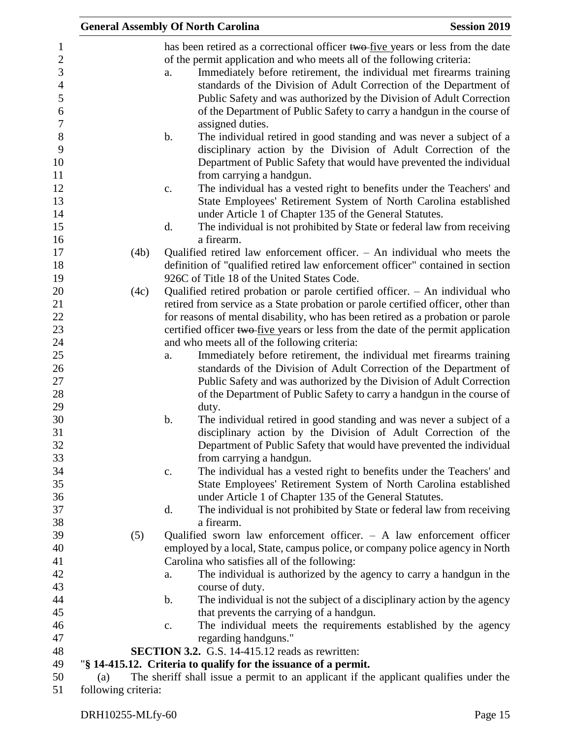|                                                                                                                                |                     |      | <b>General Assembly Of North Carolina</b>                                                                                                                                                                                                                                                                                                                                                                                                                                                                                                                                                                                                                                                                                              | <b>Session 2019</b> |
|--------------------------------------------------------------------------------------------------------------------------------|---------------------|------|----------------------------------------------------------------------------------------------------------------------------------------------------------------------------------------------------------------------------------------------------------------------------------------------------------------------------------------------------------------------------------------------------------------------------------------------------------------------------------------------------------------------------------------------------------------------------------------------------------------------------------------------------------------------------------------------------------------------------------------|---------------------|
| $\mathbf{1}$<br>$\boldsymbol{2}$<br>3<br>$\overline{4}$<br>5<br>$\boldsymbol{6}$<br>$\boldsymbol{7}$<br>$8\,$<br>9<br>10<br>11 |                     |      | has been retired as a correctional officer two-five years or less from the date<br>of the permit application and who meets all of the following criteria:<br>Immediately before retirement, the individual met firearms training<br>a.<br>standards of the Division of Adult Correction of the Department of<br>Public Safety and was authorized by the Division of Adult Correction<br>of the Department of Public Safety to carry a handgun in the course of<br>assigned duties.<br>b.<br>The individual retired in good standing and was never a subject of a<br>disciplinary action by the Division of Adult Correction of the<br>Department of Public Safety that would have prevented the individual<br>from carrying a handgun. |                     |
| 12<br>13<br>14                                                                                                                 |                     |      | The individual has a vested right to benefits under the Teachers' and<br>c.<br>State Employees' Retirement System of North Carolina established<br>under Article 1 of Chapter 135 of the General Statutes.                                                                                                                                                                                                                                                                                                                                                                                                                                                                                                                             |                     |
| 15<br>16                                                                                                                       |                     |      | The individual is not prohibited by State or federal law from receiving<br>d.<br>a firearm.                                                                                                                                                                                                                                                                                                                                                                                                                                                                                                                                                                                                                                            |                     |
| 17<br>18<br>19                                                                                                                 |                     | (4b) | Qualified retired law enforcement officer. $-$ An individual who meets the<br>definition of "qualified retired law enforcement officer" contained in section<br>926C of Title 18 of the United States Code.                                                                                                                                                                                                                                                                                                                                                                                                                                                                                                                            |                     |
| 20<br>21<br>22<br>23<br>24                                                                                                     |                     | (4c) | Qualified retired probation or parole certified officer. $-$ An individual who<br>retired from service as a State probation or parole certified officer, other than<br>for reasons of mental disability, who has been retired as a probation or parole<br>certified officer two-five years or less from the date of the permit application<br>and who meets all of the following criteria:                                                                                                                                                                                                                                                                                                                                             |                     |
| 25<br>26<br>$27\,$<br>28<br>29                                                                                                 |                     |      | Immediately before retirement, the individual met firearms training<br>a.<br>standards of the Division of Adult Correction of the Department of<br>Public Safety and was authorized by the Division of Adult Correction<br>of the Department of Public Safety to carry a handgun in the course of<br>duty.                                                                                                                                                                                                                                                                                                                                                                                                                             |                     |
| 30<br>31<br>32<br>33                                                                                                           |                     |      | The individual retired in good standing and was never a subject of a<br>b.<br>disciplinary action by the Division of Adult Correction of the<br>Department of Public Safety that would have prevented the individual<br>from carrying a handgun.                                                                                                                                                                                                                                                                                                                                                                                                                                                                                       |                     |
| 34<br>35<br>36<br>37                                                                                                           |                     |      | The individual has a vested right to benefits under the Teachers' and<br>$\mathbf{c}$ .<br>State Employees' Retirement System of North Carolina established<br>under Article 1 of Chapter 135 of the General Statutes.<br>The individual is not prohibited by State or federal law from receiving<br>d.                                                                                                                                                                                                                                                                                                                                                                                                                                |                     |
| 38<br>39<br>40                                                                                                                 |                     | (5)  | a firearm.<br>Qualified sworn law enforcement officer. $-$ A law enforcement officer<br>employed by a local, State, campus police, or company police agency in North                                                                                                                                                                                                                                                                                                                                                                                                                                                                                                                                                                   |                     |
| 41<br>42<br>43                                                                                                                 |                     |      | Carolina who satisfies all of the following:<br>The individual is authorized by the agency to carry a handgun in the<br>a.<br>course of duty.                                                                                                                                                                                                                                                                                                                                                                                                                                                                                                                                                                                          |                     |
| 44<br>45<br>46                                                                                                                 |                     |      | $\mathbf b$ .<br>The individual is not the subject of a disciplinary action by the agency<br>that prevents the carrying of a handgun.<br>The individual meets the requirements established by the agency<br>c.                                                                                                                                                                                                                                                                                                                                                                                                                                                                                                                         |                     |
| 47<br>48                                                                                                                       |                     |      | regarding handguns."<br><b>SECTION 3.2.</b> G.S. 14-415.12 reads as rewritten:                                                                                                                                                                                                                                                                                                                                                                                                                                                                                                                                                                                                                                                         |                     |
| 49                                                                                                                             |                     |      | "\\$14-415.12. Criteria to qualify for the issuance of a permit.                                                                                                                                                                                                                                                                                                                                                                                                                                                                                                                                                                                                                                                                       |                     |
| 50                                                                                                                             | (a)                 |      | The sheriff shall issue a permit to an applicant if the applicant qualifies under the                                                                                                                                                                                                                                                                                                                                                                                                                                                                                                                                                                                                                                                  |                     |
| 51                                                                                                                             | following criteria: |      |                                                                                                                                                                                                                                                                                                                                                                                                                                                                                                                                                                                                                                                                                                                                        |                     |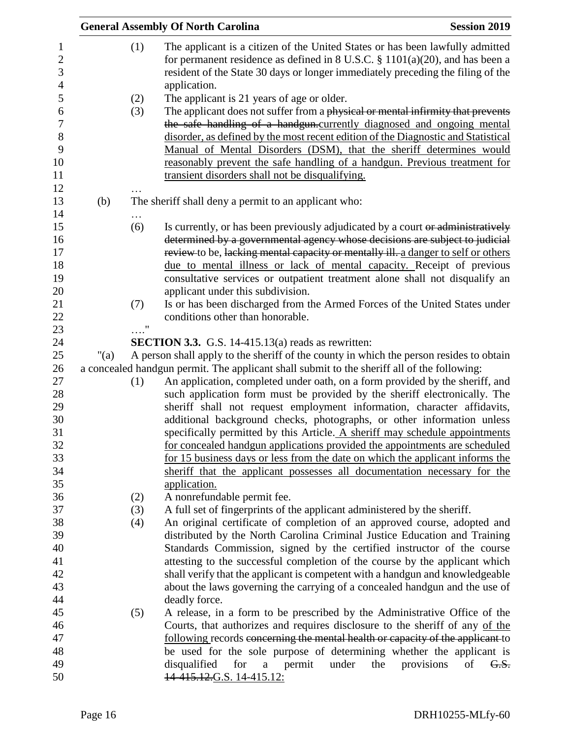|         |            | <b>General Assembly Of North Carolina</b>                                                                                                                                                                                                                                                                                                                                                                                                            | <b>Session 2019</b>   |
|---------|------------|------------------------------------------------------------------------------------------------------------------------------------------------------------------------------------------------------------------------------------------------------------------------------------------------------------------------------------------------------------------------------------------------------------------------------------------------------|-----------------------|
|         | (1)        | The applicant is a citizen of the United States or has been lawfully admitted<br>for permanent residence as defined in 8 U.S.C. $\S 1101(a)(20)$ , and has been a<br>resident of the State 30 days or longer immediately preceding the filing of the<br>application.                                                                                                                                                                                 |                       |
|         | (2)        | The applicant is 21 years of age or older.                                                                                                                                                                                                                                                                                                                                                                                                           |                       |
|         | (3)        | The applicant does not suffer from a physical or mental infirmity that prevents<br>the safe handling of a handgun.currently diagnosed and ongoing mental<br>disorder, as defined by the most recent edition of the Diagnostic and Statistical<br>Manual of Mental Disorders (DSM), that the sheriff determines would<br>reasonably prevent the safe handling of a handgun. Previous treatment for<br>transient disorders shall not be disqualifying. |                       |
| (b)     |            | The sheriff shall deny a permit to an applicant who:                                                                                                                                                                                                                                                                                                                                                                                                 |                       |
|         | (6)        | Is currently, or has been previously adjudicated by a court or administratively<br>determined by a governmental agency whose decisions are subject to judicial<br>review to be, lacking mental capacity or mentally ill. a danger to self or others<br>due to mental illness or lack of mental capacity. Receipt of previous<br>consultative services or outpatient treatment alone shall not disqualify an                                          |                       |
|         |            | applicant under this subdivision.                                                                                                                                                                                                                                                                                                                                                                                                                    |                       |
|         | (7)        | Is or has been discharged from the Armed Forces of the United States under                                                                                                                                                                                                                                                                                                                                                                           |                       |
|         |            | conditions other than honorable.                                                                                                                                                                                                                                                                                                                                                                                                                     |                       |
|         | $\ldots$ " |                                                                                                                                                                                                                                                                                                                                                                                                                                                      |                       |
|         |            | <b>SECTION 3.3.</b> G.S. 14-415.13(a) reads as rewritten:                                                                                                                                                                                                                                                                                                                                                                                            |                       |
| " $(a)$ |            | A person shall apply to the sheriff of the county in which the person resides to obtain                                                                                                                                                                                                                                                                                                                                                              |                       |
|         |            | a concealed handgun permit. The applicant shall submit to the sheriff all of the following:                                                                                                                                                                                                                                                                                                                                                          |                       |
|         | (1)        | An application, completed under oath, on a form provided by the sheriff, and                                                                                                                                                                                                                                                                                                                                                                         |                       |
|         |            | such application form must be provided by the sheriff electronically. The                                                                                                                                                                                                                                                                                                                                                                            |                       |
|         |            | sheriff shall not request employment information, character affidavits,<br>additional background checks, photographs, or other information unless                                                                                                                                                                                                                                                                                                    |                       |
|         |            | specifically permitted by this Article. A sheriff may schedule appointments                                                                                                                                                                                                                                                                                                                                                                          |                       |
|         |            | for concealed handgun applications provided the appointments are scheduled                                                                                                                                                                                                                                                                                                                                                                           |                       |
|         |            | for 15 business days or less from the date on which the applicant informs the                                                                                                                                                                                                                                                                                                                                                                        |                       |
|         |            | sheriff that the applicant possesses all documentation necessary for the                                                                                                                                                                                                                                                                                                                                                                             |                       |
|         |            | application.                                                                                                                                                                                                                                                                                                                                                                                                                                         |                       |
|         | (2)        | A nonrefundable permit fee.                                                                                                                                                                                                                                                                                                                                                                                                                          |                       |
|         | (3)        | A full set of fingerprints of the applicant administered by the sheriff.                                                                                                                                                                                                                                                                                                                                                                             |                       |
|         | (4)        | An original certificate of completion of an approved course, adopted and                                                                                                                                                                                                                                                                                                                                                                             |                       |
|         |            | distributed by the North Carolina Criminal Justice Education and Training                                                                                                                                                                                                                                                                                                                                                                            |                       |
|         |            | Standards Commission, signed by the certified instructor of the course                                                                                                                                                                                                                                                                                                                                                                               |                       |
|         |            | attesting to the successful completion of the course by the applicant which                                                                                                                                                                                                                                                                                                                                                                          |                       |
|         |            | shall verify that the applicant is competent with a handgun and knowledgeable                                                                                                                                                                                                                                                                                                                                                                        |                       |
|         |            | about the laws governing the carrying of a concealed handgun and the use of                                                                                                                                                                                                                                                                                                                                                                          |                       |
|         | (5)        | deadly force.<br>A release, in a form to be prescribed by the Administrative Office of the                                                                                                                                                                                                                                                                                                                                                           |                       |
|         |            | Courts, that authorizes and requires disclosure to the sheriff of any of the                                                                                                                                                                                                                                                                                                                                                                         |                       |
|         |            | following records concerning the mental health or capacity of the applicant to                                                                                                                                                                                                                                                                                                                                                                       |                       |
|         |            | be used for the sole purpose of determining whether the applicant is                                                                                                                                                                                                                                                                                                                                                                                 |                       |
|         |            | under<br>provisions<br>disqualified for a permit<br>the                                                                                                                                                                                                                                                                                                                                                                                              | of<br><del>G.S.</del> |
|         |            | 14-415.12.G.S. 14-415.12:                                                                                                                                                                                                                                                                                                                                                                                                                            |                       |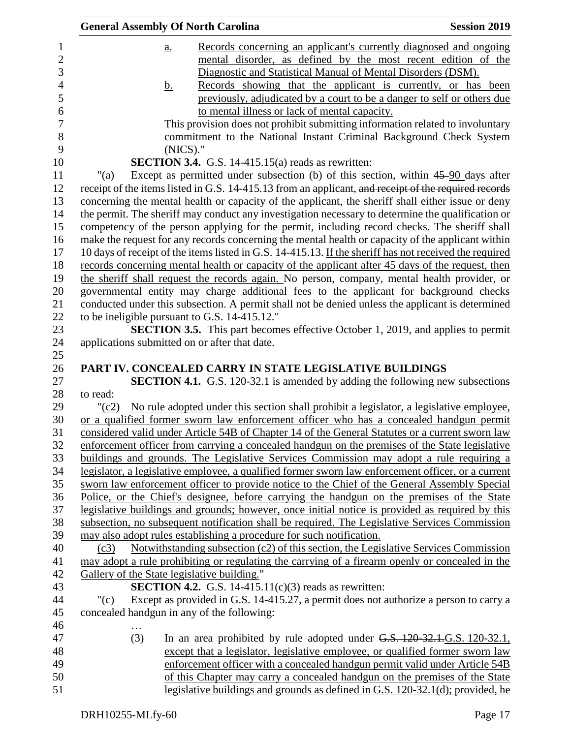| <b>General Assembly Of North Carolina</b>   |                                                                      | <b>Session 2019</b>                                                                                                                                                                               |
|---------------------------------------------|----------------------------------------------------------------------|---------------------------------------------------------------------------------------------------------------------------------------------------------------------------------------------------|
| a.                                          |                                                                      | Records concerning an applicant's currently diagnosed and ongoing                                                                                                                                 |
|                                             |                                                                      | mental disorder, as defined by the most recent edition of the                                                                                                                                     |
|                                             |                                                                      | Diagnostic and Statistical Manual of Mental Disorders (DSM).                                                                                                                                      |
| <u>b.</u>                                   |                                                                      | Records showing that the applicant is currently, or has been                                                                                                                                      |
|                                             |                                                                      | previously, adjudicated by a court to be a danger to self or others due                                                                                                                           |
|                                             | to mental illness or lack of mental capacity.                        |                                                                                                                                                                                                   |
|                                             |                                                                      | This provision does not prohibit submitting information related to involuntary                                                                                                                    |
|                                             |                                                                      | commitment to the National Instant Criminal Background Check System                                                                                                                               |
|                                             | $(NICS)$ ."                                                          |                                                                                                                                                                                                   |
|                                             | <b>SECTION 3.4.</b> G.S. 14-415.15(a) reads as rewritten:            |                                                                                                                                                                                                   |
| " $(a)$                                     |                                                                      | Except as permitted under subsection (b) of this section, within 45-90 days after                                                                                                                 |
|                                             |                                                                      | receipt of the items listed in G.S. 14-415.13 from an applicant, and receipt of the required records                                                                                              |
|                                             |                                                                      | concerning the mental health or capacity of the applicant, the sheriff shall either issue or deny                                                                                                 |
|                                             |                                                                      | the permit. The sheriff may conduct any investigation necessary to determine the qualification or                                                                                                 |
|                                             |                                                                      | competency of the person applying for the permit, including record checks. The sheriff shall                                                                                                      |
|                                             |                                                                      | make the request for any records concerning the mental health or capacity of the applicant within                                                                                                 |
|                                             |                                                                      | 10 days of receipt of the items listed in G.S. 14-415.13. If the sheriff has not received the required                                                                                            |
|                                             |                                                                      | records concerning mental health or capacity of the applicant after 45 days of the request, then                                                                                                  |
|                                             |                                                                      | the sheriff shall request the records again. No person, company, mental health provider, or                                                                                                       |
|                                             |                                                                      | governmental entity may charge additional fees to the applicant for background checks                                                                                                             |
|                                             |                                                                      | conducted under this subsection. A permit shall not be denied unless the applicant is determined                                                                                                  |
|                                             | to be ineligible pursuant to G.S. 14-415.12."                        |                                                                                                                                                                                                   |
|                                             |                                                                      | <b>SECTION 3.5.</b> This part becomes effective October 1, 2019, and applies to permit                                                                                                            |
|                                             | applications submitted on or after that date.                        |                                                                                                                                                                                                   |
|                                             |                                                                      |                                                                                                                                                                                                   |
|                                             |                                                                      | PART IV. CONCEALED CARRY IN STATE LEGISLATIVE BUILDINGS                                                                                                                                           |
|                                             |                                                                      | <b>SECTION 4.1.</b> G.S. 120-32.1 is amended by adding the following new subsections                                                                                                              |
| to read:                                    |                                                                      |                                                                                                                                                                                                   |
| $"({c}2)$                                   |                                                                      | No rule adopted under this section shall prohibit a legislator, a legislative employee,                                                                                                           |
|                                             |                                                                      | or a qualified former sworn law enforcement officer who has a concealed handgun permit                                                                                                            |
|                                             |                                                                      | considered valid under Article 54B of Chapter 14 of the General Statutes or a current sworn law<br>enforcement officer from carrying a concealed handgun on the premises of the State legislative |
|                                             |                                                                      | buildings and grounds. The Legislative Services Commission may adopt a rule requiring a                                                                                                           |
|                                             |                                                                      | legislator, a legislative employee, a qualified former sworn law enforcement officer, or a current                                                                                                |
|                                             |                                                                      | sworn law enforcement officer to provide notice to the Chief of the General Assembly Special                                                                                                      |
|                                             |                                                                      | Police, or the Chief's designee, before carrying the handgun on the premises of the State                                                                                                         |
|                                             |                                                                      | legislative buildings and grounds; however, once initial notice is provided as required by this                                                                                                   |
|                                             |                                                                      | subsection, no subsequent notification shall be required. The Legislative Services Commission                                                                                                     |
|                                             | may also adopt rules establishing a procedure for such notification. |                                                                                                                                                                                                   |
| (c3)                                        |                                                                      | Notwithstanding subsection (c2) of this section, the Legislative Services Commission                                                                                                              |
|                                             |                                                                      | may adopt a rule prohibiting or regulating the carrying of a firearm openly or concealed in the                                                                                                   |
| Gallery of the State legislative building." |                                                                      |                                                                                                                                                                                                   |
|                                             | <b>SECTION 4.2.</b> G.S. 14-415.11(c)(3) reads as rewritten:         |                                                                                                                                                                                                   |
| " $(c)$                                     |                                                                      | Except as provided in G.S. 14-415.27, a permit does not authorize a person to carry a                                                                                                             |
|                                             | concealed handgun in any of the following:                           |                                                                                                                                                                                                   |
|                                             |                                                                      |                                                                                                                                                                                                   |
| (3)                                         |                                                                      | In an area prohibited by rule adopted under G.S. 120-32.1.G.S. 120-32.1,                                                                                                                          |
|                                             |                                                                      | except that a legislator, legislative employee, or qualified former sworn law                                                                                                                     |
|                                             |                                                                      | enforcement officer with a concealed handgun permit valid under Article 54B                                                                                                                       |
|                                             |                                                                      | of this Chapter may carry a concealed handgun on the premises of the State                                                                                                                        |
|                                             |                                                                      | legislative buildings and grounds as defined in G.S. 120-32.1(d); provided, he                                                                                                                    |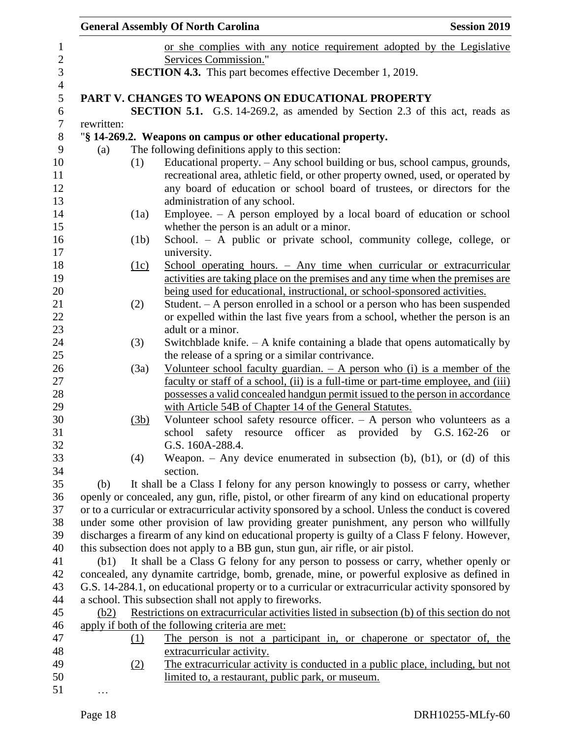|            |            | <b>General Assembly Of North Carolina</b>                                                           | <b>Session 2019</b> |
|------------|------------|-----------------------------------------------------------------------------------------------------|---------------------|
|            |            | or she complies with any notice requirement adopted by the Legislative                              |                     |
|            |            | Services Commission."                                                                               |                     |
|            |            | <b>SECTION 4.3.</b> This part becomes effective December 1, 2019.                                   |                     |
|            |            |                                                                                                     |                     |
|            |            | <b>PART V. CHANGES TO WEAPONS ON EDUCATIONAL PROPERTY</b>                                           |                     |
|            |            | <b>SECTION 5.1.</b> G.S. 14-269.2, as amended by Section 2.3 of this act, reads as                  |                     |
| rewritten: |            |                                                                                                     |                     |
|            |            | "§ 14-269.2. Weapons on campus or other educational property.                                       |                     |
| (a)        |            | The following definitions apply to this section:                                                    |                     |
|            | (1)        | Educational property. - Any school building or bus, school campus, grounds,                         |                     |
|            |            | recreational area, athletic field, or other property owned, used, or operated by                    |                     |
|            |            | any board of education or school board of trustees, or directors for the                            |                     |
|            |            | administration of any school.                                                                       |                     |
|            | (1a)       | Employee. $-$ A person employed by a local board of education or school                             |                     |
|            |            | whether the person is an adult or a minor.                                                          |                     |
|            | (1b)       | School. - A public or private school, community college, college, or                                |                     |
|            |            | university.<br>School operating hours. - Any time when curricular or extracurricular                |                     |
|            | (1c)       | activities are taking place on the premises and any time when the premises are                      |                     |
|            |            | being used for educational, instructional, or school-sponsored activities.                          |                     |
|            | (2)        | Student. – A person enrolled in a school or a person who has been suspended                         |                     |
|            |            | or expelled within the last five years from a school, whether the person is an                      |                     |
|            |            | adult or a minor.                                                                                   |                     |
|            | (3)        | Switchblade knife. $- A$ knife containing a blade that opens automatically by                       |                     |
|            |            | the release of a spring or a similar contrivance.                                                   |                     |
|            | (3a)       | Volunteer school faculty guardian. $- A$ person who (i) is a member of the                          |                     |
|            |            | faculty or staff of a school, (ii) is a full-time or part-time employee, and (iii)                  |                     |
|            |            | possesses a valid concealed handgun permit issued to the person in accordance                       |                     |
|            |            | with Article 54B of Chapter 14 of the General Statutes.                                             |                     |
|            | (3b)       | Volunteer school safety resource officer. $- A$ person who volunteers as a                          |                     |
|            |            | safety resource officer as provided by G.S. 162-26<br>school                                        | <sub>or</sub>       |
|            |            | G.S. 160A-288.4.                                                                                    |                     |
|            | (4)        | Weapon. - Any device enumerated in subsection (b), (b1), or (d) of this<br>section.                 |                     |
| (b)        |            | It shall be a Class I felony for any person knowingly to possess or carry, whether                  |                     |
|            |            | openly or concealed, any gun, rifle, pistol, or other firearm of any kind on educational property   |                     |
|            |            | or to a curricular or extracurricular activity sponsored by a school. Unless the conduct is covered |                     |
|            |            | under some other provision of law providing greater punishment, any person who willfully            |                     |
|            |            | discharges a firearm of any kind on educational property is guilty of a Class F felony. However,    |                     |
|            |            | this subsection does not apply to a BB gun, stun gun, air rifle, or air pistol.                     |                     |
| (b1)       |            | It shall be a Class G felony for any person to possess or carry, whether openly or                  |                     |
|            |            | concealed, any dynamite cartridge, bomb, grenade, mine, or powerful explosive as defined in         |                     |
|            |            | G.S. 14-284.1, on educational property or to a curricular or extracurricular activity sponsored by  |                     |
|            |            | a school. This subsection shall not apply to fireworks.                                             |                     |
| (b2)       |            | Restrictions on extracurricular activities listed in subsection (b) of this section do not          |                     |
|            |            | apply if both of the following criteria are met:                                                    |                     |
|            | <u>(1)</u> | The person is not a participant in, or chaperone or spectator of, the                               |                     |
|            |            | extracurricular activity.                                                                           |                     |
|            | (2)        | The extracurricular activity is conducted in a public place, including, but not                     |                     |
|            |            | limited to, a restaurant, public park, or museum.                                                   |                     |
|            |            |                                                                                                     |                     |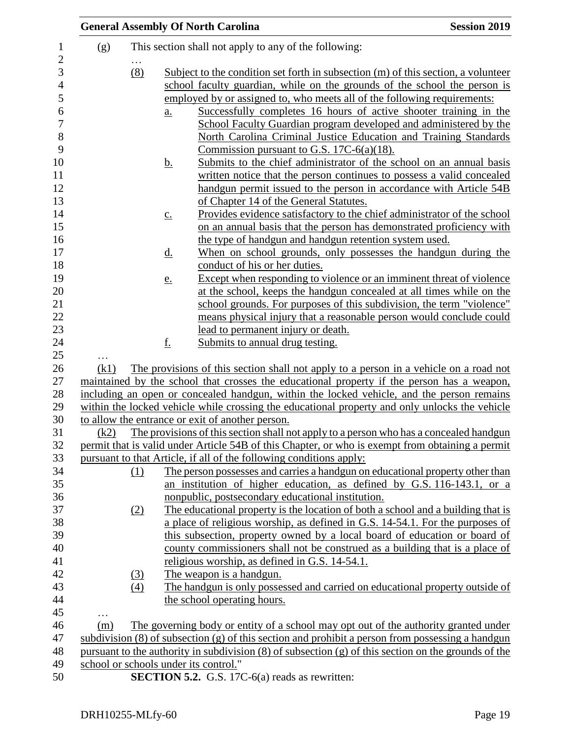|      |                 |                   | <b>General Assembly Of North Carolina</b>                                                                                                     | <b>Session 2019</b> |
|------|-----------------|-------------------|-----------------------------------------------------------------------------------------------------------------------------------------------|---------------------|
| (g)  |                 |                   | This section shall not apply to any of the following:                                                                                         |                     |
|      | $\cdots$<br>(8) |                   | Subject to the condition set forth in subsection (m) of this section, a volunteer                                                             |                     |
|      |                 |                   | school faculty guardian, while on the grounds of the school the person is                                                                     |                     |
|      |                 |                   | employed by or assigned to, who meets all of the following requirements:                                                                      |                     |
|      |                 | a.                | Successfully completes 16 hours of active shooter training in the                                                                             |                     |
|      |                 |                   | School Faculty Guardian program developed and administered by the                                                                             |                     |
|      |                 |                   | North Carolina Criminal Justice Education and Training Standards                                                                              |                     |
|      |                 |                   | Commission pursuant to G.S. 17C- $6(a)(18)$ .                                                                                                 |                     |
|      |                 | <u>b.</u>         | Submits to the chief administrator of the school on an annual basis                                                                           |                     |
|      |                 |                   | written notice that the person continues to possess a valid concealed                                                                         |                     |
|      |                 |                   | handgun permit issued to the person in accordance with Article 54B                                                                            |                     |
|      |                 |                   | of Chapter 14 of the General Statutes.                                                                                                        |                     |
|      |                 | $\underline{c}$ . | Provides evidence satisfactory to the chief administrator of the school                                                                       |                     |
|      |                 |                   | on an annual basis that the person has demonstrated proficiency with                                                                          |                     |
|      |                 |                   | the type of handgun and handgun retention system used.                                                                                        |                     |
|      |                 | <u>d.</u>         | When on school grounds, only possesses the handgun during the                                                                                 |                     |
|      |                 |                   | conduct of his or her duties.                                                                                                                 |                     |
|      |                 | <u>e.</u>         | Except when responding to violence or an imminent threat of violence                                                                          |                     |
|      |                 |                   | at the school, keeps the handgun concealed at all times while on the<br>school grounds. For purposes of this subdivision, the term "violence" |                     |
|      |                 |                   | means physical injury that a reasonable person would conclude could                                                                           |                     |
|      |                 |                   | <u>lead to permanent injury or death.</u>                                                                                                     |                     |
|      |                 | <u>f.</u>         | Submits to annual drug testing.                                                                                                               |                     |
|      |                 |                   |                                                                                                                                               |                     |
| (k1) |                 |                   | The provisions of this section shall not apply to a person in a vehicle on a road not                                                         |                     |
|      |                 |                   | maintained by the school that crosses the educational property if the person has a weapon,                                                    |                     |
|      |                 |                   | including an open or concealed handgun, within the locked vehicle, and the person remains                                                     |                     |
|      |                 |                   | within the locked vehicle while crossing the educational property and only unlocks the vehicle                                                |                     |
|      |                 |                   | to allow the entrance or exit of another person.                                                                                              |                     |
| (k2) |                 |                   | The provisions of this section shall not apply to a person who has a concealed handgun                                                        |                     |
|      |                 |                   | permit that is valid under Article 54B of this Chapter, or who is exempt from obtaining a permit                                              |                     |
|      |                 |                   | pursuant to that Article, if all of the following conditions apply:                                                                           |                     |
|      | (1)             |                   | The person possesses and carries a handgun on educational property other than                                                                 |                     |
|      |                 |                   | an institution of higher education, as defined by G.S. 116-143.1, or a                                                                        |                     |
|      |                 |                   | nonpublic, postsecondary educational institution.                                                                                             |                     |
|      | (2)             |                   | The educational property is the location of both a school and a building that is                                                              |                     |
|      |                 |                   | a place of religious worship, as defined in G.S. 14-54.1. For the purposes of                                                                 |                     |
|      |                 |                   | this subsection, property owned by a local board of education or board of                                                                     |                     |
|      |                 |                   | county commissioners shall not be construed as a building that is a place of<br>religious worship, as defined in G.S. 14-54.1.                |                     |
|      | (3)             |                   | The weapon is a handgun.                                                                                                                      |                     |
|      | (4)             |                   | The handgun is only possessed and carried on educational property outside of                                                                  |                     |
|      |                 |                   | the school operating hours.                                                                                                                   |                     |
|      |                 |                   |                                                                                                                                               |                     |
| (m)  |                 |                   | The governing body or entity of a school may opt out of the authority granted under                                                           |                     |
|      |                 |                   | subdivision $(8)$ of subsection $(g)$ of this section and prohibit a person from possessing a handgun                                         |                     |
|      |                 |                   | pursuant to the authority in subdivision $(8)$ of subsection $(g)$ of this section on the grounds of the                                      |                     |
|      |                 |                   | school or schools under its control."                                                                                                         |                     |
|      |                 |                   | <b>SECTION 5.2.</b> G.S. 17C-6(a) reads as rewritten:                                                                                         |                     |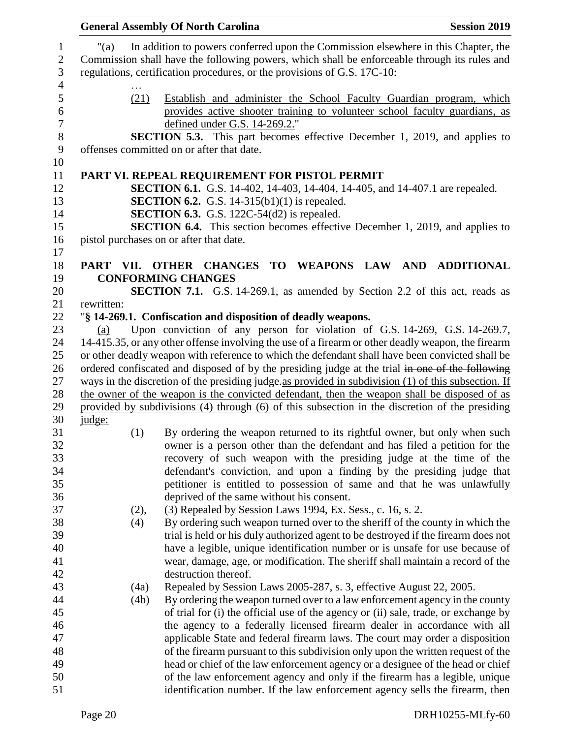|            | <b>General Assembly Of North Carolina</b>                                                                                                                                                                                                                      | <b>Session 2019</b> |
|------------|----------------------------------------------------------------------------------------------------------------------------------------------------------------------------------------------------------------------------------------------------------------|---------------------|
| "(a)       | In addition to powers conferred upon the Commission elsewhere in this Chapter, the<br>Commission shall have the following powers, which shall be enforceable through its rules and<br>regulations, certification procedures, or the provisions of G.S. 17C-10: |                     |
| (21)       | Establish and administer the School Faculty Guardian program, which<br>provides active shooter training to volunteer school faculty guardians, as<br>defined under G.S. 14-269.2."                                                                             |                     |
|            | <b>SECTION 5.3.</b> This part becomes effective December 1, 2019, and applies to<br>offenses committed on or after that date.                                                                                                                                  |                     |
|            | PART VI. REPEAL REQUIREMENT FOR PISTOL PERMIT<br>SECTION 6.1. G.S. 14-402, 14-403, 14-404, 14-405, and 14-407.1 are repealed.                                                                                                                                  |                     |
|            | <b>SECTION 6.2.</b> G.S. 14-315(b1)(1) is repealed.<br><b>SECTION 6.3.</b> G.S. 122C-54 $(d2)$ is repealed.                                                                                                                                                    |                     |
|            | <b>SECTION 6.4.</b> This section becomes effective December 1, 2019, and applies to<br>pistol purchases on or after that date.                                                                                                                                 |                     |
| PART VII.  | <b>TO</b><br>WEAPONS LAW<br><b>OTHER CHANGES</b><br><b>CONFORMING CHANGES</b>                                                                                                                                                                                  | AND ADDITIONAL      |
|            | <b>SECTION 7.1.</b> G.S. 14-269.1, as amended by Section 2.2 of this act, reads as                                                                                                                                                                             |                     |
| rewritten: |                                                                                                                                                                                                                                                                |                     |
|            | "§ 14-269.1. Confiscation and disposition of deadly weapons.                                                                                                                                                                                                   |                     |
| (a)        | Upon conviction of any person for violation of G.S. 14-269, G.S. 14-269.7,                                                                                                                                                                                     |                     |
|            | 14-415.35, or any other offense involving the use of a firearm or other deadly weapon, the firearm                                                                                                                                                             |                     |
|            | or other deadly weapon with reference to which the defendant shall have been convicted shall be                                                                                                                                                                |                     |
|            | ordered confiscated and disposed of by the presiding judge at the trial in one of the following<br>ways in the discretion of the presiding judge as provided in subdivision (1) of this subsection. If                                                         |                     |
|            | the owner of the weapon is the convicted defendant, then the weapon shall be disposed of as                                                                                                                                                                    |                     |
|            | provided by subdivisions (4) through (6) of this subsection in the discretion of the presiding                                                                                                                                                                 |                     |
| judge:     |                                                                                                                                                                                                                                                                |                     |
| (1)        | By ordering the weapon returned to its rightful owner, but only when such<br>owner is a person other than the defendant and has filed a petition for the                                                                                                       |                     |
|            | recovery of such weapon with the presiding judge at the time of the                                                                                                                                                                                            |                     |
|            | defendant's conviction, and upon a finding by the presiding judge that                                                                                                                                                                                         |                     |
|            | petitioner is entitled to possession of same and that he was unlawfully                                                                                                                                                                                        |                     |
|            | deprived of the same without his consent.                                                                                                                                                                                                                      |                     |
| (2),       | (3) Repealed by Session Laws 1994, Ex. Sess., c. 16, s. 2.                                                                                                                                                                                                     |                     |
| (4)        | By ordering such weapon turned over to the sheriff of the county in which the                                                                                                                                                                                  |                     |
|            | trial is held or his duly authorized agent to be destroyed if the firearm does not                                                                                                                                                                             |                     |
|            | have a legible, unique identification number or is unsafe for use because of                                                                                                                                                                                   |                     |
|            | wear, damage, age, or modification. The sheriff shall maintain a record of the                                                                                                                                                                                 |                     |
|            | destruction thereof.                                                                                                                                                                                                                                           |                     |
| (4a)       | Repealed by Session Laws 2005-287, s. 3, effective August 22, 2005.                                                                                                                                                                                            |                     |
| (4b)       | By ordering the weapon turned over to a law enforcement agency in the county<br>of trial for (i) the official use of the agency or (ii) sale, trade, or exchange by                                                                                            |                     |
|            | the agency to a federally licensed firearm dealer in accordance with all                                                                                                                                                                                       |                     |
|            | applicable State and federal firearm laws. The court may order a disposition                                                                                                                                                                                   |                     |
|            | of the firearm pursuant to this subdivision only upon the written request of the                                                                                                                                                                               |                     |
|            | head or chief of the law enforcement agency or a designee of the head or chief                                                                                                                                                                                 |                     |
|            | of the law enforcement agency and only if the firearm has a legible, unique                                                                                                                                                                                    |                     |
|            | identification number. If the law enforcement agency sells the firearm, then                                                                                                                                                                                   |                     |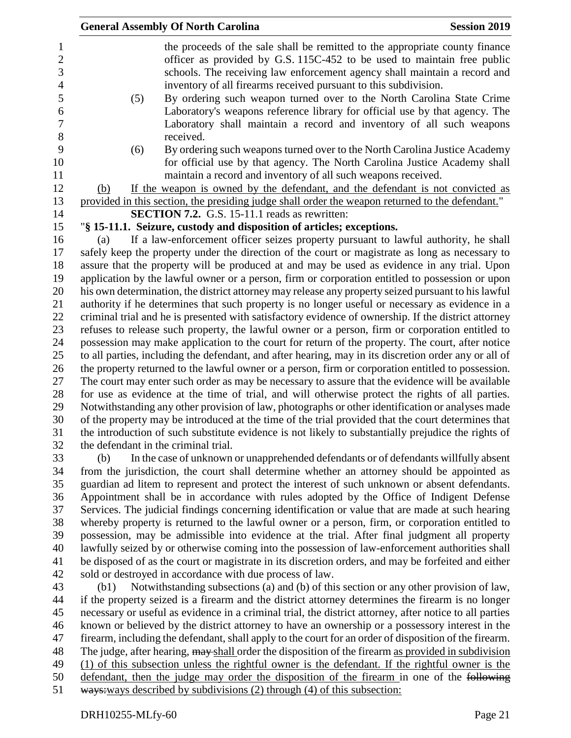| 1              |                                      | the proceeds of the sale shall be remitted to the appropriate county finance                            |
|----------------|--------------------------------------|---------------------------------------------------------------------------------------------------------|
| $\overline{2}$ |                                      | officer as provided by G.S. 115C-452 to be used to maintain free public                                 |
| 3              |                                      | schools. The receiving law enforcement agency shall maintain a record and                               |
| 4              |                                      | inventory of all firearms received pursuant to this subdivision.                                        |
| 5              | (5)                                  | By ordering such weapon turned over to the North Carolina State Crime                                   |
| 6              |                                      | Laboratory's weapons reference library for official use by that agency. The                             |
| 7              |                                      | Laboratory shall maintain a record and inventory of all such weapons                                    |
| 8              |                                      | received.                                                                                               |
| 9              | (6)                                  | By ordering such weapons turned over to the North Carolina Justice Academy                              |
| 10             |                                      | for official use by that agency. The North Carolina Justice Academy shall                               |
| 11             |                                      | maintain a record and inventory of all such weapons received.                                           |
| 12             | (b)                                  | If the weapon is owned by the defendant, and the defendant is not convicted as                          |
| 13             |                                      | provided in this section, the presiding judge shall order the weapon returned to the defendant."        |
| 14             |                                      | <b>SECTION 7.2.</b> G.S. 15-11.1 reads as rewritten:                                                    |
| 15             |                                      | "§ 15-11.1. Seizure, custody and disposition of articles; exceptions.                                   |
| 16             | (a)                                  | If a law-enforcement officer seizes property pursuant to lawful authority, he shall                     |
| 17             |                                      | safely keep the property under the direction of the court or magistrate as long as necessary to         |
| 18             |                                      | assure that the property will be produced at and may be used as evidence in any trial. Upon             |
| 19             |                                      | application by the lawful owner or a person, firm or corporation entitled to possession or upon         |
| 20             |                                      | his own determination, the district attorney may release any property seized pursuant to his lawful     |
| 21             |                                      | authority if he determines that such property is no longer useful or necessary as evidence in a         |
| 22             |                                      | criminal trial and he is presented with satisfactory evidence of ownership. If the district attorney    |
| 23             |                                      | refuses to release such property, the lawful owner or a person, firm or corporation entitled to         |
| 24             |                                      | possession may make application to the court for return of the property. The court, after notice        |
| 25             |                                      | to all parties, including the defendant, and after hearing, may in its discretion order any or all of   |
| 26             |                                      | the property returned to the lawful owner or a person, firm or corporation entitled to possession.      |
| 27             |                                      | The court may enter such order as may be necessary to assure that the evidence will be available        |
| 28             |                                      | for use as evidence at the time of trial, and will otherwise protect the rights of all parties.         |
| 29             |                                      | Notwithstanding any other provision of law, photographs or other identification or analyses made        |
| 30             |                                      | of the property may be introduced at the time of the trial provided that the court determines that      |
| 31             |                                      | the introduction of such substitute evidence is not likely to substantially prejudice the rights of     |
| 32             | the defendant in the criminal trial. |                                                                                                         |
| 33             | (b)                                  | In the case of unknown or unapprehended defendants or of defendants willfully absent                    |
| 34             |                                      | from the jurisdiction, the court shall determine whether an attorney should be appointed as             |
| 35             |                                      | guardian ad litem to represent and protect the interest of such unknown or absent defendants.           |
| 36             |                                      | Appointment shall be in accordance with rules adopted by the Office of Indigent Defense                 |
| 37             |                                      | Services. The judicial findings concerning identification or value that are made at such hearing        |
| 38             |                                      | whereby property is returned to the lawful owner or a person, firm, or corporation entitled to          |
| 39             |                                      | possession, may be admissible into evidence at the trial. After final judgment all property             |
| 40             |                                      | lawfully seized by or otherwise coming into the possession of law-enforcement authorities shall         |
| 41             |                                      | be disposed of as the court or magistrate in its discretion orders, and may be forfeited and either     |
| 42             |                                      | sold or destroyed in accordance with due process of law.                                                |
| 43             | (b1)                                 | Notwithstanding subsections (a) and (b) of this section or any other provision of law,                  |
| 44             |                                      | if the property seized is a firearm and the district attorney determines the firearm is no longer       |
| 45             |                                      | necessary or useful as evidence in a criminal trial, the district attorney, after notice to all parties |
| 46             |                                      | known or believed by the district attorney to have an ownership or a possessory interest in the         |
| 47             |                                      | firearm, including the defendant, shall apply to the court for an order of disposition of the firearm.  |
| 48             |                                      | The judge, after hearing, may shall order the disposition of the firearm as provided in subdivision     |
| 49             |                                      | (1) of this subsection unless the rightful owner is the defendant. If the rightful owner is the         |
| 50             |                                      | defendant, then the judge may order the disposition of the firearm in one of the following              |
| 51             |                                      | ways: ways described by subdivisions (2) through (4) of this subsection:                                |
|                |                                      |                                                                                                         |

**General Assembly Of North Carolina Session 2019**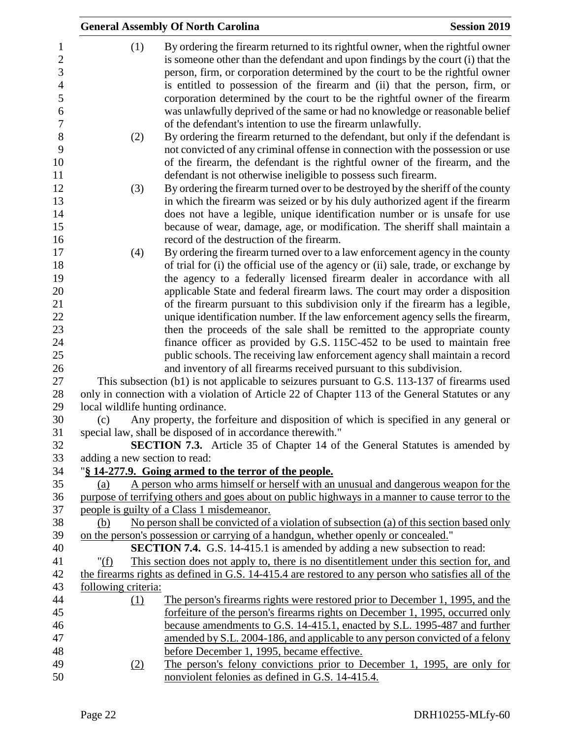|                               | <b>General Assembly Of North Carolina</b>                                                                                                                                                                                                                                                                                                                                                                                                                                                                                                                        | <b>Session 2019</b> |
|-------------------------------|------------------------------------------------------------------------------------------------------------------------------------------------------------------------------------------------------------------------------------------------------------------------------------------------------------------------------------------------------------------------------------------------------------------------------------------------------------------------------------------------------------------------------------------------------------------|---------------------|
| (1)                           | By ordering the firearm returned to its rightful owner, when the rightful owner<br>is someone other than the defendant and upon findings by the court (i) that the<br>person, firm, or corporation determined by the court to be the rightful owner<br>is entitled to possession of the firearm and (ii) that the person, firm, or<br>corporation determined by the court to be the rightful owner of the firearm<br>was unlawfully deprived of the same or had no knowledge or reasonable belief<br>of the defendant's intention to use the firearm unlawfully. |                     |
| (2)                           | By ordering the firearm returned to the defendant, but only if the defendant is<br>not convicted of any criminal offense in connection with the possession or use<br>of the firearm, the defendant is the rightful owner of the firearm, and the<br>defendant is not otherwise ineligible to possess such firearm.                                                                                                                                                                                                                                               |                     |
| (3)                           | By ordering the firearm turned over to be destroyed by the sheriff of the county<br>in which the firearm was seized or by his duly authorized agent if the firearm<br>does not have a legible, unique identification number or is unsafe for use<br>because of wear, damage, age, or modification. The sheriff shall maintain a<br>record of the destruction of the firearm.                                                                                                                                                                                     |                     |
| (4)                           | By ordering the firearm turned over to a law enforcement agency in the county<br>of trial for (i) the official use of the agency or (ii) sale, trade, or exchange by<br>the agency to a federally licensed firearm dealer in accordance with all<br>applicable State and federal firearm laws. The court may order a disposition<br>of the firearm pursuant to this subdivision only if the firearm has a legible,                                                                                                                                               |                     |
|                               | unique identification number. If the law enforcement agency sells the firearm,<br>then the proceeds of the sale shall be remitted to the appropriate county<br>finance officer as provided by G.S. 115C-452 to be used to maintain free<br>public schools. The receiving law enforcement agency shall maintain a record                                                                                                                                                                                                                                          |                     |
|                               | and inventory of all firearms received pursuant to this subdivision.<br>This subsection (b1) is not applicable to seizures pursuant to G.S. 113-137 of firearms used<br>only in connection with a violation of Article 22 of Chapter 113 of the General Statutes or any<br>local wildlife hunting ordinance.                                                                                                                                                                                                                                                     |                     |
| (c)                           | Any property, the forfeiture and disposition of which is specified in any general or<br>special law, shall be disposed of in accordance therewith."<br>SECTION 7.3. Article 35 of Chapter 14 of the General Statutes is amended by                                                                                                                                                                                                                                                                                                                               |                     |
| adding a new section to read: |                                                                                                                                                                                                                                                                                                                                                                                                                                                                                                                                                                  |                     |
| (a)                           | "\\$14-277.9. Going armed to the terror of the people.<br>A person who arms himself or herself with an unusual and dangerous weapon for the                                                                                                                                                                                                                                                                                                                                                                                                                      |                     |
|                               | purpose of terrifying others and goes about on public highways in a manner to cause terror to the                                                                                                                                                                                                                                                                                                                                                                                                                                                                |                     |
|                               | people is guilty of a Class 1 misdemeanor.                                                                                                                                                                                                                                                                                                                                                                                                                                                                                                                       |                     |
| (b)                           | No person shall be convicted of a violation of subsection (a) of this section based only                                                                                                                                                                                                                                                                                                                                                                                                                                                                         |                     |
|                               | on the person's possession or carrying of a handgun, whether openly or concealed."                                                                                                                                                                                                                                                                                                                                                                                                                                                                               |                     |
|                               | <b>SECTION 7.4.</b> G.S. 14-415.1 is amended by adding a new subsection to read:                                                                                                                                                                                                                                                                                                                                                                                                                                                                                 |                     |
| " $(f)$                       | This section does not apply to, there is no disentitlement under this section for, and                                                                                                                                                                                                                                                                                                                                                                                                                                                                           |                     |
|                               | the firearms rights as defined in G.S. 14-415.4 are restored to any person who satisfies all of the                                                                                                                                                                                                                                                                                                                                                                                                                                                              |                     |
| following criteria:           |                                                                                                                                                                                                                                                                                                                                                                                                                                                                                                                                                                  |                     |
| (1)                           | <u>The person's firearms rights were restored prior to December 1, 1995, and the</u>                                                                                                                                                                                                                                                                                                                                                                                                                                                                             |                     |
|                               | forfeiture of the person's firearms rights on December 1, 1995, occurred only                                                                                                                                                                                                                                                                                                                                                                                                                                                                                    |                     |
|                               | because amendments to G.S. 14-415.1, enacted by S.L. 1995-487 and further                                                                                                                                                                                                                                                                                                                                                                                                                                                                                        |                     |
|                               | amended by S.L. 2004-186, and applicable to any person convicted of a felony                                                                                                                                                                                                                                                                                                                                                                                                                                                                                     |                     |
|                               | before December 1, 1995, became effective.                                                                                                                                                                                                                                                                                                                                                                                                                                                                                                                       |                     |
| (2)                           | The person's felony convictions prior to December 1, 1995, are only for                                                                                                                                                                                                                                                                                                                                                                                                                                                                                          |                     |
|                               | nonviolent felonies as defined in G.S. 14-415.4.                                                                                                                                                                                                                                                                                                                                                                                                                                                                                                                 |                     |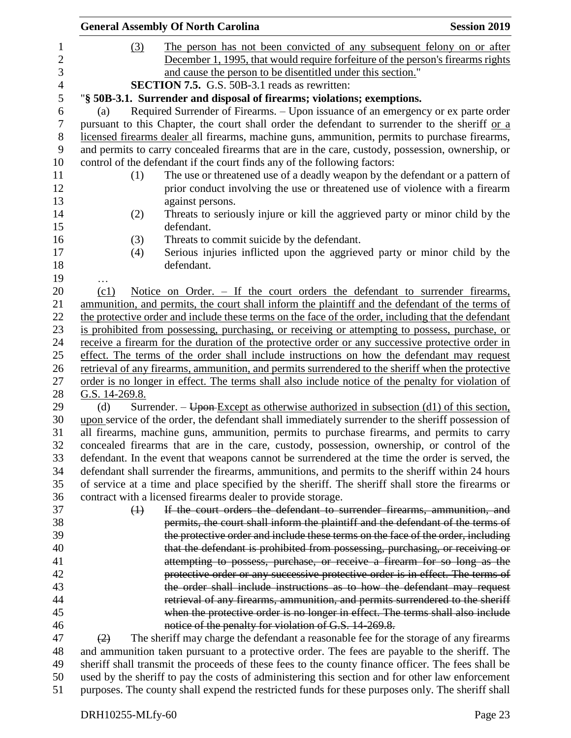|                   |                   | <b>General Assembly Of North Carolina</b>                                                                                                                                                           | <b>Session 2019</b> |
|-------------------|-------------------|-----------------------------------------------------------------------------------------------------------------------------------------------------------------------------------------------------|---------------------|
|                   | (3)               | The person has not been convicted of any subsequent felony on or after                                                                                                                              |                     |
|                   |                   | December 1, 1995, that would require forfeiture of the person's firearms rights                                                                                                                     |                     |
|                   |                   | and cause the person to be disentitled under this section."                                                                                                                                         |                     |
|                   |                   | <b>SECTION 7.5.</b> G.S. 50B-3.1 reads as rewritten:                                                                                                                                                |                     |
|                   |                   | "§ 50B-3.1. Surrender and disposal of firearms; violations; exemptions.                                                                                                                             |                     |
| (a)               |                   | Required Surrender of Firearms. - Upon issuance of an emergency or ex parte order                                                                                                                   |                     |
|                   |                   | pursuant to this Chapter, the court shall order the defendant to surrender to the sheriff or a                                                                                                      |                     |
|                   |                   | licensed firearms dealer all firearms, machine guns, ammunition, permits to purchase firearms,                                                                                                      |                     |
|                   |                   | and permits to carry concealed firearms that are in the care, custody, possession, ownership, or                                                                                                    |                     |
|                   |                   | control of the defendant if the court finds any of the following factors:                                                                                                                           |                     |
|                   | (1)               | The use or threatened use of a deadly weapon by the defendant or a pattern of                                                                                                                       |                     |
|                   |                   | prior conduct involving the use or threatened use of violence with a firearm                                                                                                                        |                     |
|                   |                   | against persons.                                                                                                                                                                                    |                     |
|                   | (2)               | Threats to seriously injure or kill the aggrieved party or minor child by the                                                                                                                       |                     |
|                   |                   | defendant.                                                                                                                                                                                          |                     |
|                   | (3)               | Threats to commit suicide by the defendant.                                                                                                                                                         |                     |
|                   | (4)               | Serious injuries inflicted upon the aggrieved party or minor child by the                                                                                                                           |                     |
|                   |                   | defendant.                                                                                                                                                                                          |                     |
|                   |                   |                                                                                                                                                                                                     |                     |
| (c1)              |                   | Notice on Order. – If the court orders the defendant to surrender firearms,                                                                                                                         |                     |
|                   |                   | ammunition, and permits, the court shall inform the plaintiff and the defendant of the terms of                                                                                                     |                     |
|                   |                   | the protective order and include these terms on the face of the order, including that the defendant                                                                                                 |                     |
|                   |                   | is prohibited from possessing, purchasing, or receiving or attempting to possess, purchase, or                                                                                                      |                     |
|                   |                   | receive a firearm for the duration of the protective order or any successive protective order in                                                                                                    |                     |
|                   |                   | effect. The terms of the order shall include instructions on how the defendant may request                                                                                                          |                     |
|                   |                   | retrieval of any firearms, ammunition, and permits surrendered to the sheriff when the protective                                                                                                   |                     |
|                   |                   | order is no longer in effect. The terms shall also include notice of the penalty for violation of                                                                                                   |                     |
|                   | G.S. 14-269.8.    |                                                                                                                                                                                                     |                     |
| (d)               |                   | Surrender. – Upon Except as otherwise authorized in subsection (d1) of this section,                                                                                                                |                     |
|                   |                   | upon service of the order, the defendant shall immediately surrender to the sheriff possession of                                                                                                   |                     |
|                   |                   | all firearms, machine guns, ammunition, permits to purchase firearms, and permits to carry                                                                                                          |                     |
|                   |                   | concealed firearms that are in the care, custody, possession, ownership, or control of the                                                                                                          |                     |
|                   |                   | defendant. In the event that weapons cannot be surrendered at the time the order is served, the                                                                                                     |                     |
|                   |                   | defendant shall surrender the firearms, ammunitions, and permits to the sheriff within 24 hours                                                                                                     |                     |
|                   |                   | of service at a time and place specified by the sheriff. The sheriff shall store the firearms or                                                                                                    |                     |
|                   |                   | contract with a licensed firearms dealer to provide storage.                                                                                                                                        |                     |
|                   | $\leftrightarrow$ | If the court orders the defendant to surrender firearms, ammunition, and                                                                                                                            |                     |
|                   |                   | permits, the court shall inform the plaintiff and the defendant of the terms of                                                                                                                     |                     |
|                   |                   | the protective order and include these terms on the face of the order, including                                                                                                                    |                     |
|                   |                   | that the defendant is prohibited from possessing, purchasing, or receiving or                                                                                                                       |                     |
|                   |                   | attempting to possess, purchase, or receive a firearm for so long as the                                                                                                                            |                     |
|                   |                   | protective order or any successive protective order is in effect. The terms of                                                                                                                      |                     |
|                   |                   | the order shall include instructions as to how the defendant may request                                                                                                                            |                     |
|                   |                   | retrieval of any firearms, ammunition, and permits surrendered to the sheriff                                                                                                                       |                     |
|                   |                   | when the protective order is no longer in effect. The terms shall also include                                                                                                                      |                     |
|                   |                   | notice of the penalty for violation of G.S. 14-269.8.                                                                                                                                               |                     |
| $\left( 2\right)$ |                   | The sheriff may charge the defendant a reasonable fee for the storage of any firearms                                                                                                               |                     |
|                   |                   | and ammunition taken pursuant to a protective order. The fees are payable to the sheriff. The<br>sheriff shall transmit the proceeds of these fees to the county finance officer. The fees shall be |                     |
|                   |                   | used by the sheriff to pay the costs of administering this section and for other law enforcement                                                                                                    |                     |
|                   |                   |                                                                                                                                                                                                     |                     |

purposes. The county shall expend the restricted funds for these purposes only. The sheriff shall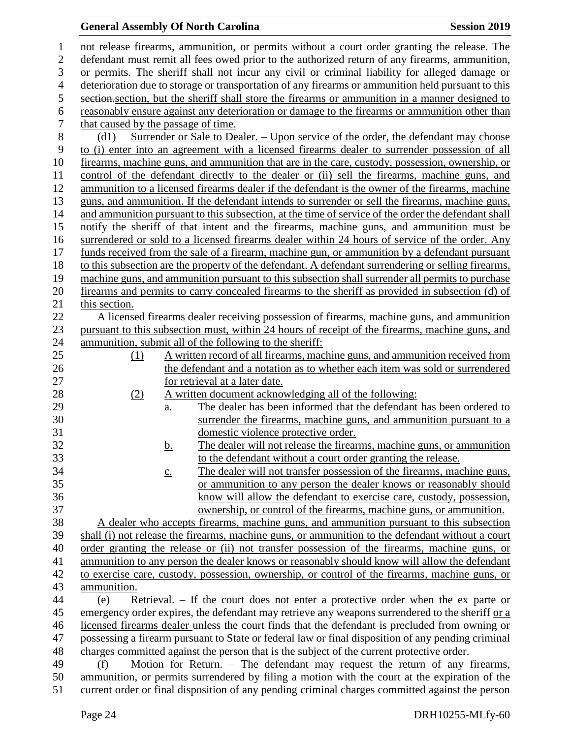# **General Assembly Of North Carolina Session 2019**

| $\mathbf 1$      |                                                                                                    |                   | not release firearms, ammunition, or permits without a court order granting the release. The        |  |  |
|------------------|----------------------------------------------------------------------------------------------------|-------------------|-----------------------------------------------------------------------------------------------------|--|--|
| $\mathbf{2}$     | defendant must remit all fees owed prior to the authorized return of any firearms, ammunition,     |                   |                                                                                                     |  |  |
| 3                | or permits. The sheriff shall not incur any civil or criminal liability for alleged damage or      |                   |                                                                                                     |  |  |
| $\overline{4}$   | deterioration due to storage or transportation of any firearms or ammunition held pursuant to this |                   |                                                                                                     |  |  |
| 5                |                                                                                                    |                   | section, section, but the sheriff shall store the firearms or ammunition in a manner designed to    |  |  |
| 6                |                                                                                                    |                   | reasonably ensure against any deterioration or damage to the firearms or ammunition other than      |  |  |
| $\boldsymbol{7}$ | that caused by the passage of time.                                                                |                   |                                                                                                     |  |  |
| $8\,$            | (d1)                                                                                               |                   | <u>Surrender or Sale to Dealer. – Upon service of the order, the defendant may choose</u>           |  |  |
| 9                |                                                                                                    |                   | to (i) enter into an agreement with a licensed firearms dealer to surrender possession of all       |  |  |
| 10               |                                                                                                    |                   | firearms, machine guns, and ammunition that are in the care, custody, possession, ownership, or     |  |  |
| 11               |                                                                                                    |                   | control of the defendant directly to the dealer or (ii) sell the firearms, machine guns, and        |  |  |
| 12               |                                                                                                    |                   | ammunition to a licensed firearms dealer if the defendant is the owner of the firearms, machine     |  |  |
| 13               |                                                                                                    |                   | guns, and ammunition. If the defendant intends to surrender or sell the firearms, machine guns,     |  |  |
| 14               |                                                                                                    |                   | and ammunition pursuant to this subsection, at the time of service of the order the defendant shall |  |  |
| 15               |                                                                                                    |                   | notify the sheriff of that intent and the firearms, machine guns, and ammunition must be            |  |  |
| 16               |                                                                                                    |                   | surrendered or sold to a licensed firearms dealer within 24 hours of service of the order. Any      |  |  |
| 17               |                                                                                                    |                   | funds received from the sale of a firearm, machine gun, or ammunition by a defendant pursuant       |  |  |
| 18               |                                                                                                    |                   | to this subsection are the property of the defendant. A defendant surrendering or selling firearms, |  |  |
| 19               |                                                                                                    |                   | machine guns, and ammunition pursuant to this subsection shall surrender all permits to purchase    |  |  |
| 20               |                                                                                                    |                   | firearms and permits to carry concealed firearms to the sheriff as provided in subsection (d) of    |  |  |
| 21               | this section.                                                                                      |                   |                                                                                                     |  |  |
| 22               |                                                                                                    |                   | A licensed firearms dealer receiving possession of firearms, machine guns, and ammunition           |  |  |
| 23               |                                                                                                    |                   | pursuant to this subsection must, within 24 hours of receipt of the firearms, machine guns, and     |  |  |
| 24               |                                                                                                    |                   | ammunition, submit all of the following to the sheriff:                                             |  |  |
| 25               | (1)                                                                                                |                   | A written record of all firearms, machine guns, and ammunition received from                        |  |  |
| 26               |                                                                                                    |                   | the defendant and a notation as to whether each item was sold or surrendered                        |  |  |
| 27               |                                                                                                    |                   | for retrieval at a later date.                                                                      |  |  |
| 28               | (2)                                                                                                |                   | A written document acknowledging all of the following:                                              |  |  |
| 29               |                                                                                                    | $\underline{a}$ . | The dealer has been informed that the defendant has been ordered to                                 |  |  |
| 30               |                                                                                                    |                   | surrender the firearms, machine guns, and ammunition pursuant to a                                  |  |  |
| 31               |                                                                                                    |                   | domestic violence protective order.                                                                 |  |  |
| 32               |                                                                                                    | <u>b.</u>         | The dealer will not release the firearms, machine guns, or ammunition                               |  |  |
| 33               |                                                                                                    |                   | to the defendant without a court order granting the release.                                        |  |  |
| 34               |                                                                                                    | $\underline{c}$ . | The dealer will not transfer possession of the firearms, machine guns,                              |  |  |
| 35               |                                                                                                    |                   | or ammunition to any person the dealer knows or reasonably should                                   |  |  |
| 36               |                                                                                                    |                   | know will allow the defendant to exercise care, custody, possession,                                |  |  |
| 37               |                                                                                                    |                   | ownership, or control of the firearms, machine guns, or ammunition.                                 |  |  |
| 38               |                                                                                                    |                   | A dealer who accepts firearms, machine guns, and ammunition pursuant to this subsection             |  |  |
| 39               |                                                                                                    |                   | shall (i) not release the firearms, machine guns, or ammunition to the defendant without a court    |  |  |
| 40               |                                                                                                    |                   | order granting the release or (ii) not transfer possession of the firearms, machine guns, or        |  |  |
| 41               |                                                                                                    |                   | ammunition to any person the dealer knows or reasonably should know will allow the defendant        |  |  |
| 42               |                                                                                                    |                   | to exercise care, custody, possession, ownership, or control of the firearms, machine guns, or      |  |  |
| 43               | ammunition.                                                                                        |                   |                                                                                                     |  |  |
| 44               | (e)                                                                                                |                   | Retrieval. – If the court does not enter a protective order when the ex parte or                    |  |  |
| 45               |                                                                                                    |                   | emergency order expires, the defendant may retrieve any weapons surrendered to the sheriff or a     |  |  |
| 46               |                                                                                                    |                   | licensed firearms dealer unless the court finds that the defendant is precluded from owning or      |  |  |
| 47               |                                                                                                    |                   | possessing a firearm pursuant to State or federal law or final disposition of any pending criminal  |  |  |
| 48               |                                                                                                    |                   | charges committed against the person that is the subject of the current protective order.           |  |  |
| 49               | (f)                                                                                                |                   | Motion for Return. – The defendant may request the return of any firearms,                          |  |  |
| 50               |                                                                                                    |                   | ammunition, or permits surrendered by filing a motion with the court at the expiration of the       |  |  |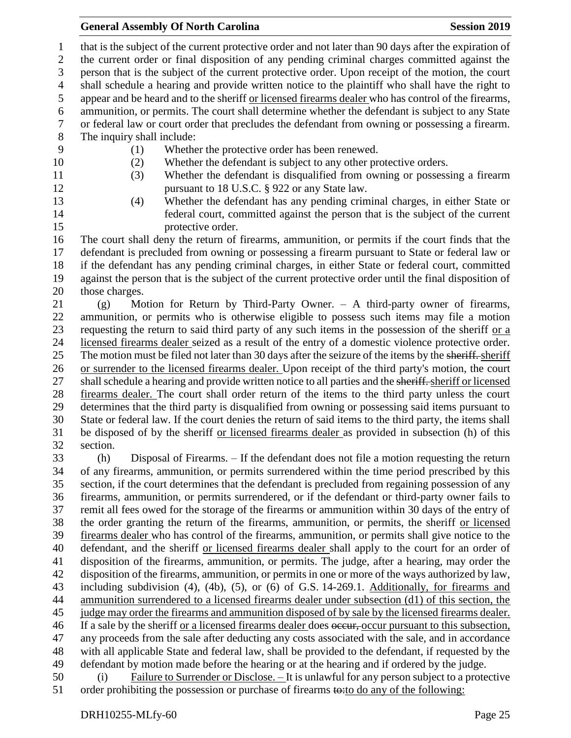#### **General Assembly Of North Carolina Session 2019 Session 2019**

 that is the subject of the current protective order and not later than 90 days after the expiration of the current order or final disposition of any pending criminal charges committed against the person that is the subject of the current protective order. Upon receipt of the motion, the court shall schedule a hearing and provide written notice to the plaintiff who shall have the right to appear and be heard and to the sheriff or licensed firearms dealer who has control of the firearms, ammunition, or permits. The court shall determine whether the defendant is subject to any State or federal law or court order that precludes the defendant from owning or possessing a firearm. The inquiry shall include: (1) Whether the protective order has been renewed. (2) Whether the defendant is subject to any other protective orders. (3) Whether the defendant is disqualified from owning or possessing a firearm 12 pursuant to 18 U.S.C. § 922 or any State law. (4) Whether the defendant has any pending criminal charges, in either State or federal court, committed against the person that is the subject of the current 15 protective order. The court shall deny the return of firearms, ammunition, or permits if the court finds that the defendant is precluded from owning or possessing a firearm pursuant to State or federal law or if the defendant has any pending criminal charges, in either State or federal court, committed against the person that is the subject of the current protective order until the final disposition of those charges. (g) Motion for Return by Third-Party Owner. – A third-party owner of firearms, ammunition, or permits who is otherwise eligible to possess such items may file a motion requesting the return to said third party of any such items in the possession of the sheriff or a licensed firearms dealer seized as a result of the entry of a domestic violence protective order. 25 The motion must be filed not later than 30 days after the seizure of the items by the sheriff. sheriff or surrender to the licensed firearms dealer. Upon receipt of the third party's motion, the court 27 shall schedule a hearing and provide written notice to all parties and the sheriff. sheriff or licensed firearms dealer. The court shall order return of the items to the third party unless the court determines that the third party is disqualified from owning or possessing said items pursuant to State or federal law. If the court denies the return of said items to the third party, the items shall be disposed of by the sheriff or licensed firearms dealer as provided in subsection (h) of this section. (h) Disposal of Firearms. – If the defendant does not file a motion requesting the return of any firearms, ammunition, or permits surrendered within the time period prescribed by this section, if the court determines that the defendant is precluded from regaining possession of any firearms, ammunition, or permits surrendered, or if the defendant or third-party owner fails to remit all fees owed for the storage of the firearms or ammunition within 30 days of the entry of the order granting the return of the firearms, ammunition, or permits, the sheriff or licensed firearms dealer who has control of the firearms, ammunition, or permits shall give notice to the defendant, and the sheriff or licensed firearms dealer shall apply to the court for an order of disposition of the firearms, ammunition, or permits. The judge, after a hearing, may order the disposition of the firearms, ammunition, or permits in one or more of the ways authorized by law, including subdivision (4), (4b), (5), or (6) of G.S. 14-269.1. Additionally, for firearms and ammunition surrendered to a licensed firearms dealer under subsection (d1) of this section, the judge may order the firearms and ammunition disposed of by sale by the licensed firearms dealer. 46 If a sale by the sheriff or a licensed firearms dealer does occur-cocur pursuant to this subsection, any proceeds from the sale after deducting any costs associated with the sale, and in accordance with all applicable State and federal law, shall be provided to the defendant, if requested by the defendant by motion made before the hearing or at the hearing and if ordered by the judge. (i) Failure to Surrender or Disclose. – It is unlawful for any person subject to a protective

51 order prohibiting the possession or purchase of firearms to: to do any of the following: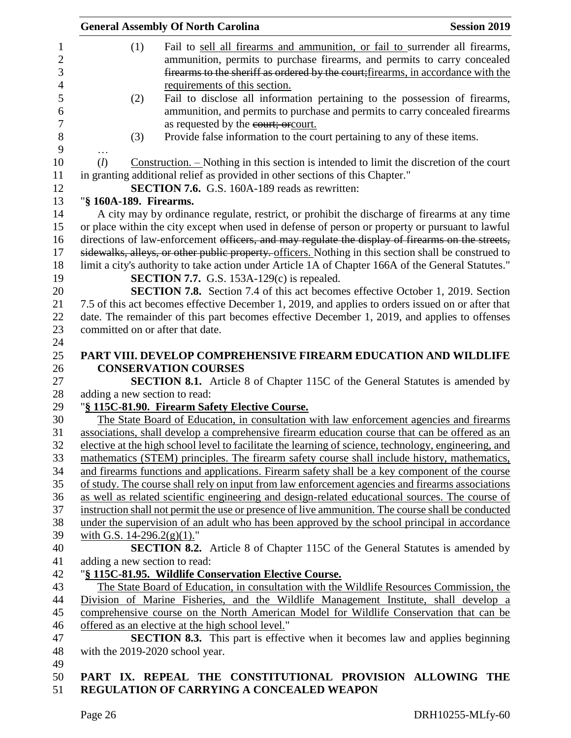|     |     | <b>General Assembly Of North Carolina</b>                                                                                                                                                            | <b>Session 2019</b> |
|-----|-----|------------------------------------------------------------------------------------------------------------------------------------------------------------------------------------------------------|---------------------|
|     | (1) | Fail to sell all firearms and ammunition, or fail to surrender all firearms,                                                                                                                         |                     |
|     |     | ammunition, permits to purchase firearms, and permits to carry concealed                                                                                                                             |                     |
|     |     | firearms to the sheriff as ordered by the court; firearms, in accordance with the                                                                                                                    |                     |
|     |     | requirements of this section.                                                                                                                                                                        |                     |
|     | (2) | Fail to disclose all information pertaining to the possession of firearms,                                                                                                                           |                     |
|     |     | ammunition, and permits to purchase and permits to carry concealed firearms                                                                                                                          |                     |
|     |     | as requested by the court; or court.                                                                                                                                                                 |                     |
|     | (3) | Provide false information to the court pertaining to any of these items.                                                                                                                             |                     |
| .   |     |                                                                                                                                                                                                      |                     |
| (l) |     | Construction. - Nothing in this section is intended to limit the discretion of the court                                                                                                             |                     |
|     |     | in granting additional relief as provided in other sections of this Chapter."                                                                                                                        |                     |
|     |     | <b>SECTION 7.6.</b> G.S. 160A-189 reads as rewritten:                                                                                                                                                |                     |
|     |     | "§ 160A-189. Firearms.                                                                                                                                                                               |                     |
|     |     | A city may by ordinance regulate, restrict, or prohibit the discharge of firearms at any time                                                                                                        |                     |
|     |     | or place within the city except when used in defense of person or property or pursuant to lawful<br>directions of law-enforcement officers, and may regulate the display of firearms on the streets, |                     |
|     |     | sidewalks, alleys, or other public property. officers. Nothing in this section shall be construed to                                                                                                 |                     |
|     |     | limit a city's authority to take action under Article 1A of Chapter 166A of the General Statutes."                                                                                                   |                     |
|     |     | <b>SECTION 7.7.</b> G.S. 153A-129 $(c)$ is repealed.                                                                                                                                                 |                     |
|     |     | <b>SECTION 7.8.</b> Section 7.4 of this act becomes effective October 1, 2019. Section                                                                                                               |                     |
|     |     | 7.5 of this act becomes effective December 1, 2019, and applies to orders issued on or after that                                                                                                    |                     |
|     |     | date. The remainder of this part becomes effective December 1, 2019, and applies to offenses                                                                                                         |                     |
|     |     | committed on or after that date.                                                                                                                                                                     |                     |
|     |     |                                                                                                                                                                                                      |                     |
|     |     | PART VIII. DEVELOP COMPREHENSIVE FIREARM EDUCATION AND WILDLIFE                                                                                                                                      |                     |
|     |     | <b>CONSERVATION COURSES</b>                                                                                                                                                                          |                     |
|     |     | <b>SECTION 8.1.</b> Article 8 of Chapter 115C of the General Statutes is amended by                                                                                                                  |                     |
|     |     | adding a new section to read:                                                                                                                                                                        |                     |
|     |     | "§ 115C-81.90. Firearm Safety Elective Course.                                                                                                                                                       |                     |
|     |     | The State Board of Education, in consultation with law enforcement agencies and firearms                                                                                                             |                     |
|     |     | associations, shall develop a comprehensive firearm education course that can be offered as an                                                                                                       |                     |
|     |     | elective at the high school level to facilitate the learning of science, technology, engineering, and                                                                                                |                     |
|     |     | mathematics (STEM) principles. The firearm safety course shall include history, mathematics,                                                                                                         |                     |
|     |     | and firearms functions and applications. Firearm safety shall be a key component of the course                                                                                                       |                     |
|     |     | of study. The course shall rely on input from law enforcement agencies and firearms associations                                                                                                     |                     |
|     |     | as well as related scientific engineering and design-related educational sources. The course of                                                                                                      |                     |
|     |     | instruction shall not permit the use or presence of live ammunition. The course shall be conducted                                                                                                   |                     |
|     |     | under the supervision of an adult who has been approved by the school principal in accordance                                                                                                        |                     |
|     |     | with G.S. $14-296.2(g)(1)$ ."                                                                                                                                                                        |                     |
|     |     | <b>SECTION 8.2.</b> Article 8 of Chapter 115C of the General Statutes is amended by                                                                                                                  |                     |
|     |     | adding a new section to read:                                                                                                                                                                        |                     |
|     |     | "§ 115C-81.95. Wildlife Conservation Elective Course.                                                                                                                                                |                     |
|     |     | The State Board of Education, in consultation with the Wildlife Resources Commission, the                                                                                                            |                     |
|     |     | Division of Marine Fisheries, and the Wildlife Management Institute, shall develop a                                                                                                                 |                     |
|     |     | comprehensive course on the North American Model for Wildlife Conservation that can be                                                                                                               |                     |
|     |     | offered as an elective at the high school level."                                                                                                                                                    |                     |
|     |     | <b>SECTION 8.3.</b> This part is effective when it becomes law and applies beginning                                                                                                                 |                     |
|     |     | with the 2019-2020 school year.                                                                                                                                                                      |                     |
|     |     |                                                                                                                                                                                                      |                     |
|     |     | PART IX. REPEAL THE CONSTITUTIONAL PROVISION ALLOWING THE                                                                                                                                            |                     |

# **REGULATION OF CARRYING A CONCEALED WEAPON**